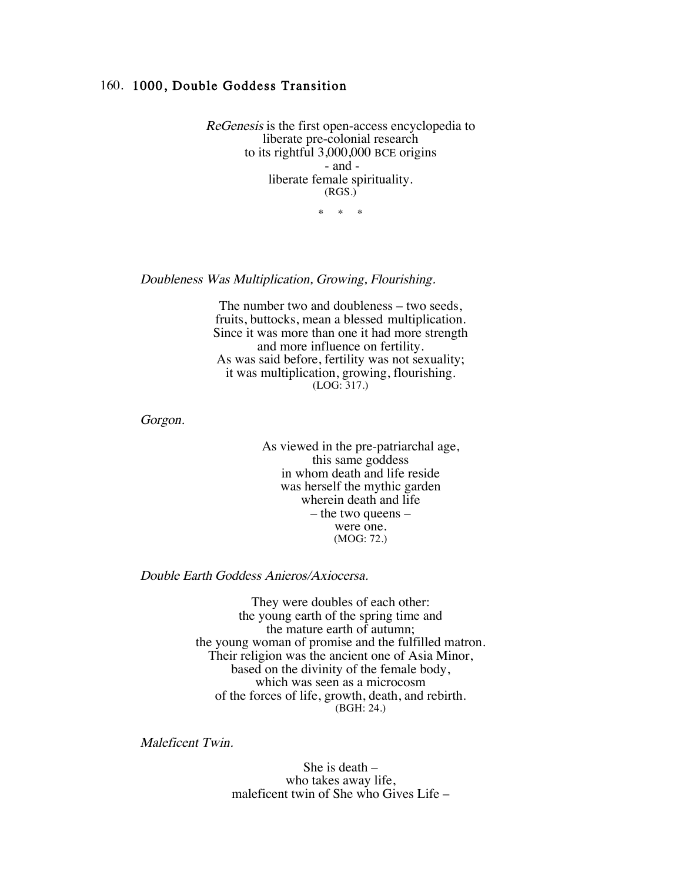## 160. 1000, Double Goddess Transition

ReGenesis is the first open-access encyclopedia to liberate pre-colonial research to its rightful 3,000,000 BCE origins - and liberate female spirituality. (RGS.)

\* \* \*

Doubleness Was Multiplication, Growing, Flourishing.

The number two and doubleness – two seeds, fruits, buttocks, mean a blessed multiplication. Since it was more than one it had more strength and more influence on fertility. As was said before, fertility was not sexuality; it was multiplication, growing, flourishing. (LOG: 317.)

Gorgon.

As viewed in the pre-patriarchal age, this same goddess in whom death and life reside was herself the mythic garden wherein death and life – the two queens – were one. (MOG: 72.)

Double Earth Goddess Anieros/Axiocersa.

They were doubles of each other: the young earth of the spring time and the mature earth of autumn; the young woman of promise and the fulfilled matron. Their religion was the ancient one of Asia Minor, based on the divinity of the female body, which was seen as a microcosm of the forces of life, growth, death, and rebirth. (BGH: 24.)

Maleficent Twin.

She is death – who takes away life, maleficent twin of She who Gives Life –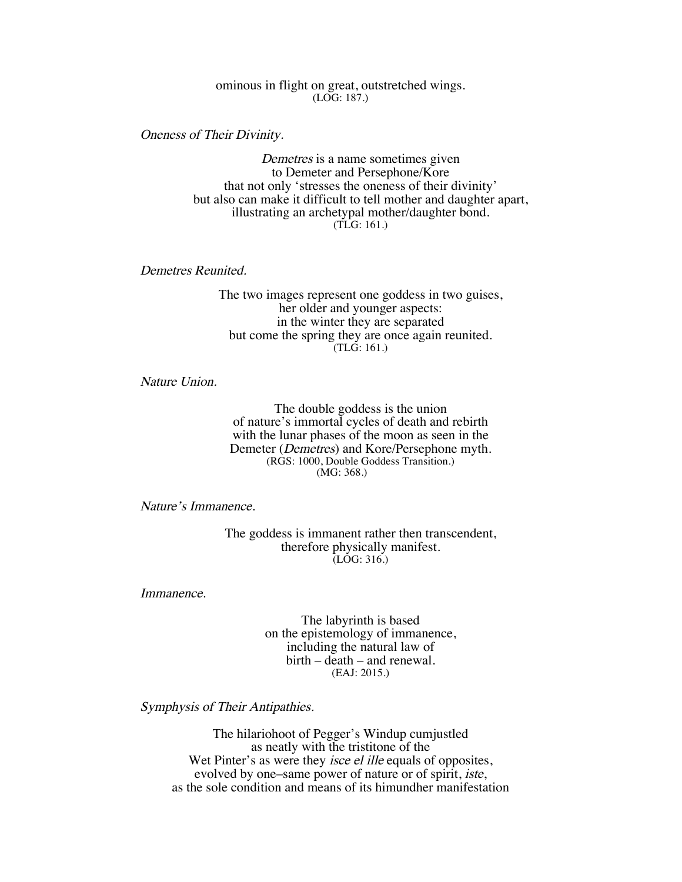ominous in flight on great, outstretched wings. (LOG: 187.)

Oneness of Their Divinity.

Demetres is a name sometimes given to Demeter and Persephone/Kore that not only 'stresses the oneness of their divinity' but also can make it difficult to tell mother and daughter apart, illustrating an archetypal mother/daughter bond. (TLG: 161.)

Demetres Reunited.

The two images represent one goddess in two guises, her older and younger aspects: in the winter they are separated but come the spring they are once again reunited. (TLG: 161.)

Nature Union.

The double goddess is the union of nature's immortal cycles of death and rebirth with the lunar phases of the moon as seen in the Demeter (Demetres) and Kore/Persephone myth. (RGS: 1000, Double Goddess Transition.) (MG: 368.)

Nature's Immanence.

The goddess is immanent rather then transcendent, therefore physically manifest.  $\overline{(LOG:316.)}$ 

Immanence.

The labyrinth is based on the epistemology of immanence, including the natural law of birth – death – and renewal. (EAJ: 2015.)

Symphysis of Their Antipathies.

The hilariohoot of Pegger's Windup cumjustled as neatly with the tristitone of the Wet Pinter's as were they *isce el ille* equals of opposites, evolved by one–same power of nature or of spirit, iste, as the sole condition and means of its himundher manifestation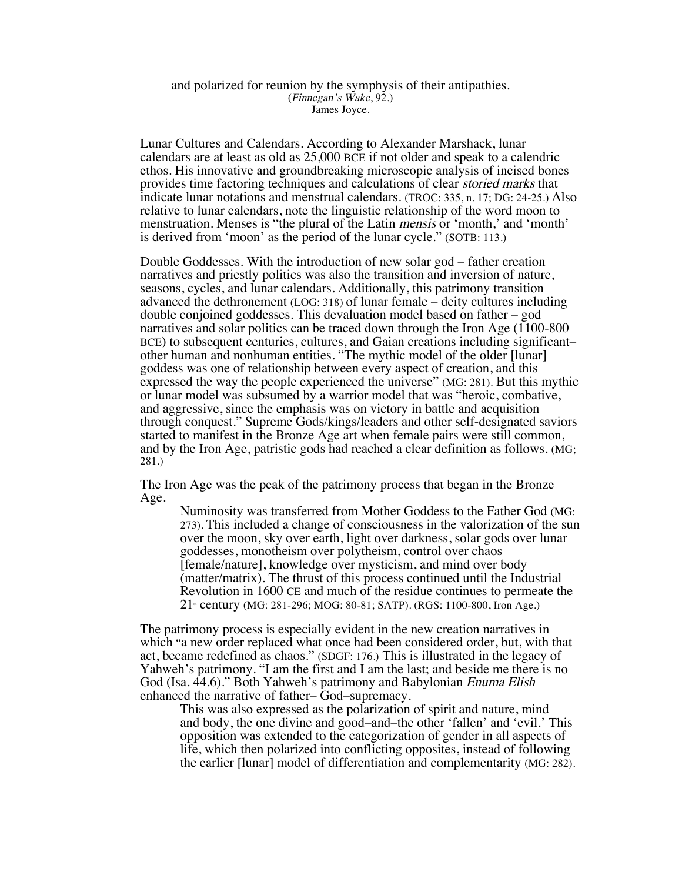## and polarized for reunion by the symphysis of their antipathies. (Finnegan's Wake, 92.) James Joyce.

Lunar Cultures and Calendars. According to Alexander Marshack, lunar calendars are at least as old as 25,000 BCE if not older and speak to a calendric ethos. His innovative and groundbreaking microscopic analysis of incised bones provides time factoring techniques and calculations of clear storied marks that indicate lunar notations and menstrual calendars. (TROC: 335, n. 17; DG: 24-25.) Also relative to lunar calendars, note the linguistic relationship of the word moon to menstruation. Menses is "the plural of the Latin *mensis* or 'month,' and 'month' is derived from 'moon' as the period of the lunar cycle." (SOTB: 113.)

Double Goddesses. With the introduction of new solar god – father creation narratives and priestly politics was also the transition and inversion of nature, seasons, cycles, and lunar calendars. Additionally, this patrimony transition advanced the dethronement (LOG: 318) of lunar female – deity cultures including double conjoined goddesses. This devaluation model based on father – god narratives and solar politics can be traced down through the Iron Age (1100-800 BCE) to subsequent centuries, cultures, and Gaian creations including significant– other human and nonhuman entities. "The mythic model of the older [lunar] goddess was one of relationship between every aspect of creation, and this expressed the way the people experienced the universe" (MG: 281). But this mythic or lunar model was subsumed by a warrior model that was "heroic, combative, and aggressive, since the emphasis was on victory in battle and acquisition through conquest." Supreme Gods/kings/leaders and other self-designated saviors started to manifest in the Bronze Age art when female pairs were still common, and by the Iron Age, patristic gods had reached a clear definition as follows. (MG; 281.)

The Iron Age was the peak of the patrimony process that began in the Bronze Age.

Numinosity was transferred from Mother Goddess to the Father God (MG: 273). This included a change of consciousness in the valorization of the sun over the moon, sky over earth, light over darkness, solar gods over lunar goddesses, monotheism over polytheism, control over chaos [female/nature], knowledge over mysticism, and mind over body (matter/matrix). The thrust of this process continued until the Industrial Revolution in 1600 CE and much of the residue continues to permeate the 21<sup>*s*</sup> century (MG: 281-296; MOG: 80-81; SATP). (RGS: 1100-800, Iron Age.)

The patrimony process is especially evident in the new creation narratives in which "a new order replaced what once had been considered order, but, with that act, became redefined as chaos." (SDGF: 176.) This is illustrated in the legacy of Yahweh's patrimony. "I am the first and I am the last; and beside me there is no God (Isa. 44.6)." Both Yahweh's patrimony and Babylonian Enuma Elish enhanced the narrative of father– God–supremacy.

This was also expressed as the polarization of spirit and nature, mind and body, the one divine and good–and–the other 'fallen' and 'evil.' This opposition was extended to the categorization of gender in all aspects of life, which then polarized into conflicting opposites, instead of following the earlier [lunar] model of differentiation and complementarity (MG: 282).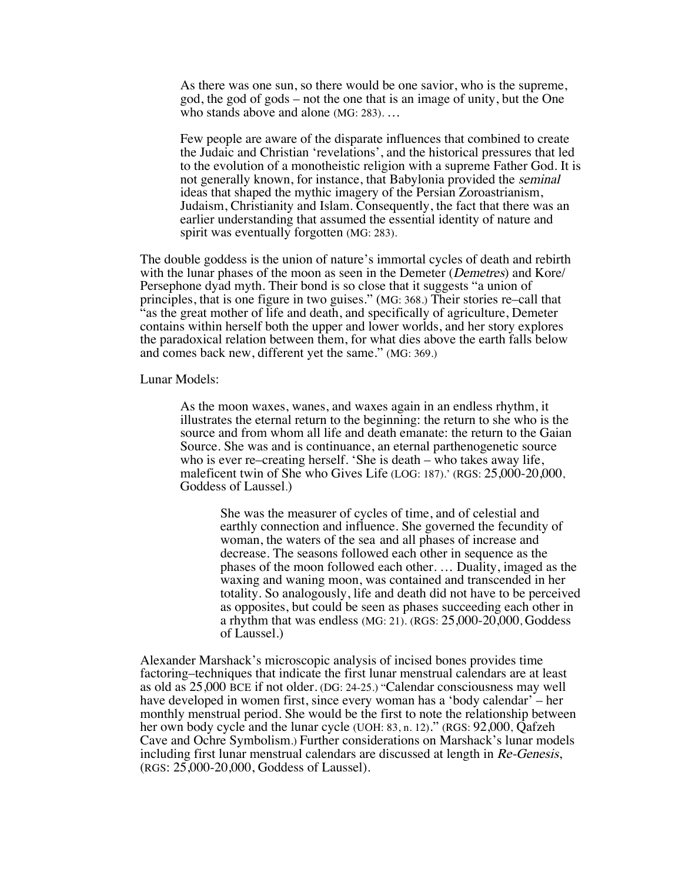As there was one sun, so there would be one savior, who is the supreme, god, the god of gods – not the one that is an image of unity, but the One who stands above and alone (MG: 283). …

Few people are aware of the disparate influences that combined to create the Judaic and Christian 'revelations', and the historical pressures that led to the evolution of a monotheistic religion with a supreme Father God. It is not generally known, for instance, that Babylonia provided the seminal ideas that shaped the mythic imagery of the Persian Zoroastrianism, Judaism, Christianity and Islam. Consequently, the fact that there was an earlier understanding that assumed the essential identity of nature and spirit was eventually forgotten (MG: 283).

The double goddess is the union of nature's immortal cycles of death and rebirth with the lunar phases of the moon as seen in the Demeter *(Demetres)* and Kore/ Persephone dyad myth. Their bond is so close that it suggests "a union of principles, that is one figure in two guises." (MG: 368.) Their stories re–call that "as the great mother of life and death, and specifically of agriculture, Demeter contains within herself both the upper and lower worlds, and her story explores the paradoxical relation between them, for what dies above the earth falls below and comes back new, different yet the same." (MG: 369.)

## Lunar Models:

As the moon waxes, wanes, and waxes again in an endless rhythm, it illustrates the eternal return to the beginning: the return to she who is the source and from whom all life and death emanate: the return to the Gaian Source. She was and is continuance, an eternal parthenogenetic source who is ever re–creating herself. 'She is death – who takes away life, maleficent twin of She who Gives Life (LOG: 187).' (RGS: 25,000-20,000, Goddess of Laussel.)

> She was the measurer of cycles of time, and of celestial and earthly connection and influence. She governed the fecundity of woman, the waters of the sea and all phases of increase and decrease. The seasons followed each other in sequence as the phases of the moon followed each other. … Duality, imaged as the waxing and waning moon, was contained and transcended in her totality. So analogously, life and death did not have to be perceived as opposites, but could be seen as phases succeeding each other in a rhythm that was endless (MG: 21). (RGS: 25,000-20,000, Goddess of Laussel.)

Alexander Marshack's microscopic analysis of incised bones provides time factoring–techniques that indicate the first lunar menstrual calendars are at least as old as 25,000 BCE if not older. (DG: 24-25.) "Calendar consciousness may well have developed in women first, since every woman has a 'body calendar' – her monthly menstrual period. She would be the first to note the relationship between her own body cycle and the lunar cycle (UOH: 83, n. 12)." (RGS: 92,000, Qafzeh Cave and Ochre Symbolism.) Further considerations on Marshack's lunar models including first lunar menstrual calendars are discussed at length in Re-Genesis, (RGS: 25,000-20,000, Goddess of Laussel).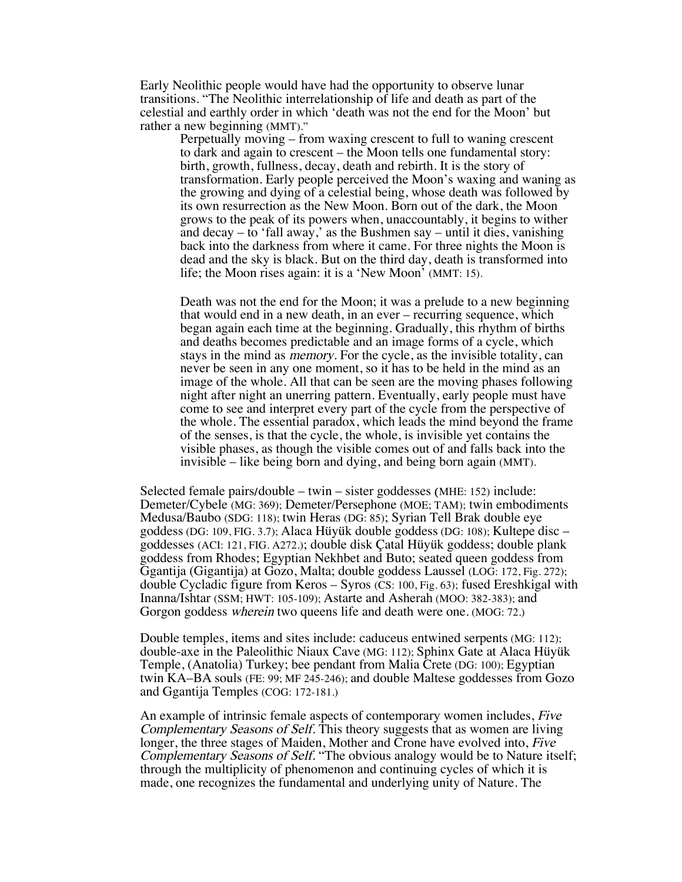Early Neolithic people would have had the opportunity to observe lunar transitions. "The Neolithic interrelationship of life and death as part of the celestial and earthly order in which 'death was not the end for the Moon' but rather a new beginning (MMT)."

Perpetually moving – from waxing crescent to full to waning crescent to dark and again to crescent – the Moon tells one fundamental story: birth, growth, fullness, decay, death and rebirth. It is the story of transformation. Early people perceived the Moon's waxing and waning as the growing and dying of a celestial being, whose death was followed by its own resurrection as the New Moon. Born out of the dark, the Moon grows to the peak of its powers when, unaccountably, it begins to wither and decay – to 'fall away,' as the Bushmen say – until it dies, vanishing back into the darkness from where it came. For three nights the Moon is dead and the sky is black. But on the third day, death is transformed into life; the Moon rises again: it is a 'New Moon' (MMT: 15).

Death was not the end for the Moon; it was a prelude to a new beginning that would end in a new death, in an ever – recurring sequence, which began again each time at the beginning. Gradually, this rhythm of births and deaths becomes predictable and an image forms of a cycle, which stays in the mind as memory. For the cycle, as the invisible totality, can never be seen in any one moment, so it has to be held in the mind as an image of the whole. All that can be seen are the moving phases following night after night an unerring pattern. Eventually, early people must have come to see and interpret every part of the cycle from the perspective of the whole. The essential paradox, which leads the mind beyond the frame of the senses, is that the cycle, the whole, is invisible yet contains the visible phases, as though the visible comes out of and falls back into the invisible – like being born and dying, and being born again (MMT).

Selected female pairs/double – twin – sister goddesses (MHE: 152) include: Demeter/Cybele (MG: 369); Demeter/Persephone (MOE; TAM); twin embodiments Medusa/Baubo (SDG: 118); twin Heras (DG: 85); Syrian Tell Brak double eye goddess (DG: 109, FIG. 3.7); Alaca Hüyük double goddess (DG: 108); Kultepe disc – goddesses (ACI: 121, FIG. A272.); double disk Çatal Hüyük goddess; double plank goddess from Rhodes; Egyptian Nekhbet and Buto; seated queen goddess from Ggantija (Gigantija) at Gozo, Malta; double goddess Laussel (LOG: 172, Fig. 272); double Cycladic figure from Keros – Syros (CS: 100, Fig. 63); fused Ereshkigal with Inanna/Ishtar (SSM; HWT: 105-109); Astarte and Asherah (MOO: 382-383); and Gorgon goddess wherein two queens life and death were one. (MOG: 72.)

Double temples, items and sites include: caduceus entwined serpents (MG: 112); double-axe in the Paleolithic Niaux Cave (MG: 112); Sphinx Gate at Alaca Hüyük Temple, (Anatolia) Turkey; bee pendant from Malia Crete (DG: 100); Egyptian twin KA–BA souls (FE: 99; MF 245-246); and double Maltese goddesses from Gozo and Ggantija Temples (COG: 172-181.)

An example of intrinsic female aspects of contemporary women includes, Five Complementary Seasons of Self. This theory suggests that as women are living longer, the three stages of Maiden, Mother and Crone have evolved into, Five Complementary Seasons of Self. "The obvious analogy would be to Nature itself; through the multiplicity of phenomenon and continuing cycles of which it is made, one recognizes the fundamental and underlying unity of Nature. The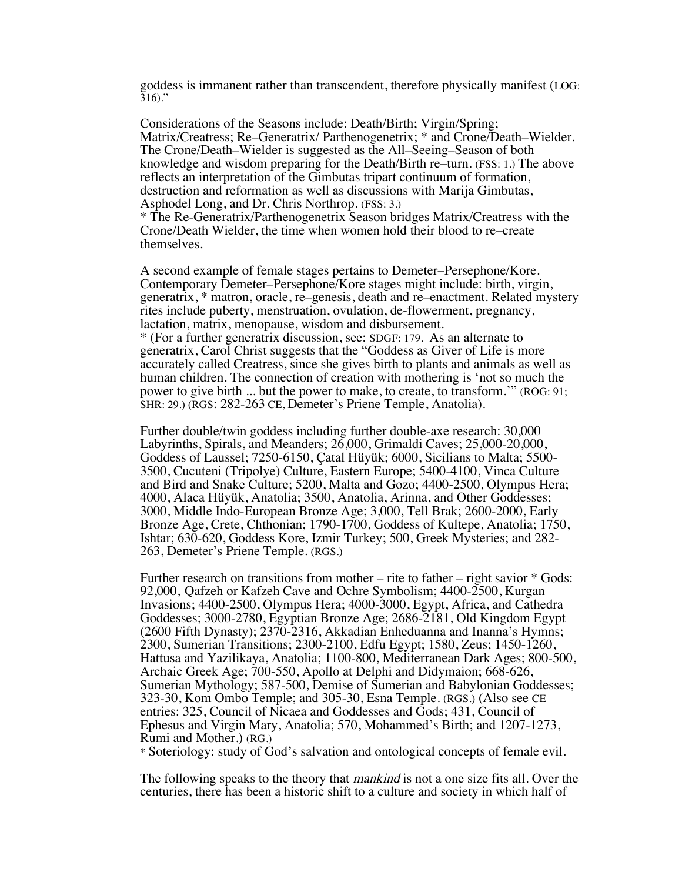goddess is immanent rather than transcendent, therefore physically manifest (LOG:  $316$ ."

Considerations of the Seasons include: Death/Birth; Virgin/Spring; Matrix/Creatress; Re–Generatrix/ Parthenogenetrix; \* and Crone/Death–Wielder. The Crone/Death–Wielder is suggested as the All–Seeing–Season of both knowledge and wisdom preparing for the Death/Birth re–turn. (FSS: 1.) The above reflects an interpretation of the Gimbutas tripart continuum of formation, destruction and reformation as well as discussions with Marija Gimbutas, Asphodel Long, and Dr. Chris Northrop. (FSS: 3.)

\* The Re-Generatrix/Parthenogenetrix Season bridges Matrix/Creatress with the Crone/Death Wielder, the time when women hold their blood to re–create themselves.

A second example of female stages pertains to Demeter–Persephone/Kore. Contemporary Demeter–Persephone/Kore stages might include: birth, virgin, generatrix, \* matron, oracle, re–genesis, death and re–enactment. Related mystery rites include puberty, menstruation, ovulation, de-flowerment, pregnancy, lactation, matrix, menopause, wisdom and disbursement.

\* (For a further generatrix discussion, see: SDGF: 179. As an alternate to generatrix, Carol Christ suggests that the "Goddess as Giver of Life is more accurately called Creatress, since she gives birth to plants and animals as well as human children. The connection of creation with mothering is 'not so much the power to give birth ... but the power to make, to create, to transform.'" (ROG: 91; SHR: 29.) (RGS: 282-263 CE, Demeter's Priene Temple, Anatolia).

Further double/twin goddess including further double-axe research: 30,000 Labyrinths, Spirals, and Meanders; 26,000, Grimaldi Caves; 25,000-20,000, Goddess of Laussel; 7250-6150, Çatal Hüyük; 6000, Sicilians to Malta; 5500- 3500, Cucuteni (Tripolye) Culture, Eastern Europe; 5400-4100, Vinca Culture and Bird and Snake Culture; 5200, Malta and Gozo; 4400-2500, Olympus Hera; 4000, Alaca Hüyük, Anatolia; 3500, Anatolia, Arinna, and Other Goddesses; 3000, Middle Indo-European Bronze Age; 3,000, Tell Brak; 2600-2000, Early Bronze Age, Crete, Chthonian; 1790-1700, Goddess of Kultepe, Anatolia; 1750, Ishtar; 630-620, Goddess Kore, Izmir Turkey; 500, Greek Mysteries; and 282- 263, Demeter's Priene Temple. (RGS.)

Further research on transitions from mother – rite to father – right savior \* Gods: 92,000, Qafzeh or Kafzeh Cave and Ochre Symbolism; 4400-2500, Kurgan Invasions; 4400-2500, Olympus Hera; 4000-3000, Egypt, Africa, and Cathedra Goddesses; 3000-2780, Egyptian Bronze Age; 2686-2181, Old Kingdom Egypt (2600 Fifth Dynasty); 2370-2316, Akkadian Enheduanna and Inanna's Hymns; 2300, Sumerian Transitions; 2300-2100, Edfu Egypt; 1580, Zeus; 1450-1260, Hattusa and Yazilikaya, Anatolia; 1100-800, Mediterranean Dark Ages; 800-500, Archaic Greek Age; 700-550, Apollo at Delphi and Didymaion; 668-626, Sumerian Mythology; 587-500, Demise of Sumerian and Babylonian Goddesses; 323-30, Kom Ombo Temple; and 305-30, Esna Temple. (RGS.) (Also see CE entries: 325, Council of Nicaea and Goddesses and Gods; 431, Council of Ephesus and Virgin Mary, Anatolia; 570, Mohammed's Birth; and 1207-1273, Rumi and Mother.) (RG.)

\* Soteriology: study of God's salvation and ontological concepts of female evil.

The following speaks to the theory that *mankind* is not a one size fits all. Over the centuries, there has been a historic shift to a culture and society in which half of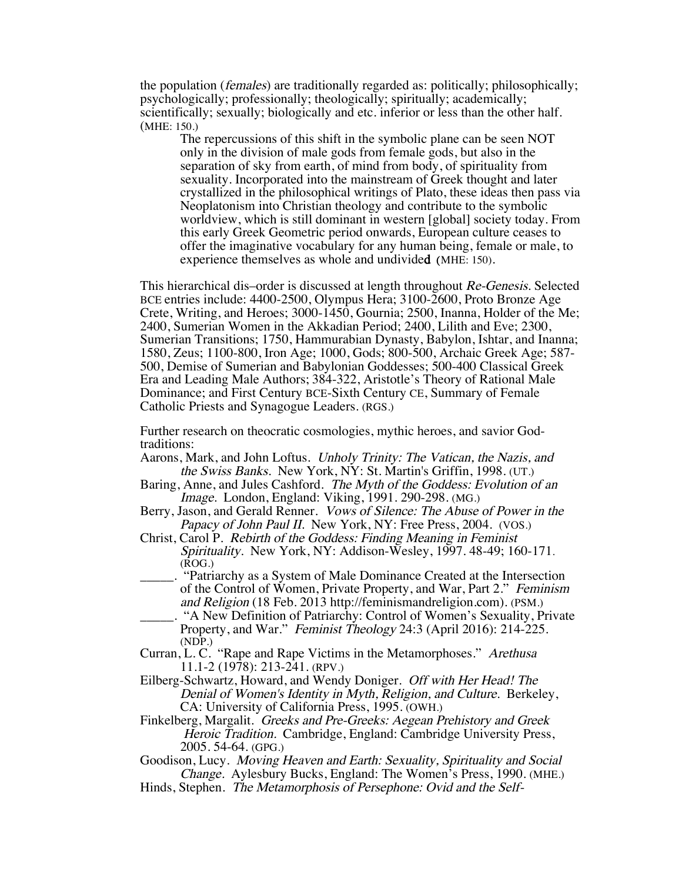the population (*females*) are traditionally regarded as: politically; philosophically; psychologically; professionally; theologically; spiritually; academically; scientifically; sexually; biologically and etc. inferior or less than the other half. (MHE: 150.)

The repercussions of this shift in the symbolic plane can be seen NOT only in the division of male gods from female gods, but also in the separation of sky from earth, of mind from body, of spirituality from sexuality. Incorporated into the mainstream of Greek thought and later crystallized in the philosophical writings of Plato, these ideas then pass via Neoplatonism into Christian theology and contribute to the symbolic worldview, which is still dominant in western [global] society today. From this early Greek Geometric period onwards, European culture ceases to offer the imaginative vocabulary for any human being, female or male, to experience themselves as whole and undivided (MHE: 150).

This hierarchical dis–order is discussed at length throughout Re-Genesis. Selected BCE entries include: 4400-2500, Olympus Hera; 3100-2600, Proto Bronze Age Crete, Writing, and Heroes; 3000-1450, Gournia; 2500, Inanna, Holder of the Me; 2400, Sumerian Women in the Akkadian Period; 2400, Lilith and Eve; 2300, Sumerian Transitions; 1750, Hammurabian Dynasty, Babylon, Ishtar, and Inanna; 1580, Zeus; 1100-800, Iron Age; 1000, Gods; 800-500, Archaic Greek Age; 587- 500, Demise of Sumerian and Babylonian Goddesses; 500-400 Classical Greek Era and Leading Male Authors; 384-322, Aristotle's Theory of Rational Male Dominance; and First Century BCE-Sixth Century CE, Summary of Female Catholic Priests and Synagogue Leaders. (RGS.)

Further research on theocratic cosmologies, mythic heroes, and savior Godtraditions:

- Aarons, Mark, and John Loftus. Unholy Trinity: The Vatican, the Nazis, and the Swiss Banks. New York, NY: St. Martin's Griffin, 1998. (UT.)
- Baring, Anne, and Jules Cashford. The Myth of the Goddess: Evolution of an Image. London, England: Viking, 1991. 290-298. (MG.)
- Berry, Jason, and Gerald Renner. Vows of Silence: The Abuse of Power in the Papacy of John Paul II. New York, NY: Free Press, 2004. (VOS.)
- Christ, Carol P. Rebirth of the Goddess: Finding Meaning in Feminist Spirituality. New York, NY: Addison-Wesley, 1997. 48-49; 160-171. (ROG.)
- \_\_\_\_\_. "Patriarchy as a System of Male Dominance Created at the Intersection of the Control of Women, Private Property, and War, Part 2." Feminism and Religion (18 Feb. 2013 http://feminismandreligion.com). (PSM.)
- \_\_\_\_\_. "A New Definition of Patriarchy: Control of Women's Sexuality, Private Property, and War." *Feminist Theology* 24:3 (April 2016): 214-225. (NDP.)
- Curran, L. C. "Rape and Rape Victims in the Metamorphoses." Arethusa 11.1-2 (1978): 213-241. (RPV.)
- Eilberg-Schwartz, Howard, and Wendy Doniger. Off with Her Head! The Denial of Women's Identity in Myth, Religion, and Culture. Berkeley, CA: University of California Press, 1995. (OWH.)
- Finkelberg, Margalit. Greeks and Pre-Greeks: Aegean Prehistory and Greek Heroic Tradition. Cambridge, England: Cambridge University Press, 2005. 54-64. (GPG.)
- Goodison, Lucy. Moving Heaven and Earth: Sexuality, Spirituality and Social Change. Aylesbury Bucks, England: The Women's Press, 1990. (MHE.)
- Hinds, Stephen. The Metamorphosis of Persephone: Ovid and the Self-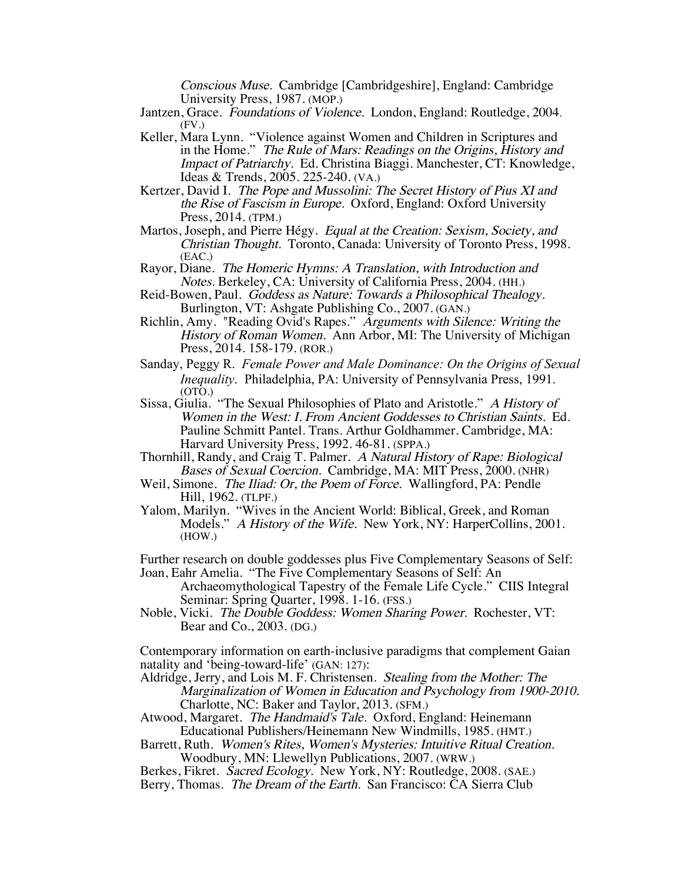Conscious Muse. Cambridge [Cambridgeshire], England: Cambridge University Press, 1987. (MOP.)

- Jantzen, Grace. Foundations of Violence. London, England: Routledge, 2004. (FV.)
- Keller, Mara Lynn. "Violence against Women and Children in Scriptures and in the Home." The Rule of Mars: Readings on the Origins, History and Impact of Patriarchy. Ed. Christina Biaggi. Manchester, CT: Knowledge, Ideas & Trends, 2005. 225-240. (VA.)
- Kertzer, David I. The Pope and Mussolini: The Secret History of Pius XI and the Rise of Fascism in Europe. Oxford, England: Oxford University Press, 2014. (TPM.)
- Martos, Joseph, and Pierre Hégy. Equal at the Creation: Sexism, Society, and Christian Thought. Toronto, Canada: University of Toronto Press, 1998. (EAC.)
- Rayor, Diane. The Homeric Hymns: A Translation, with Introduction and Notes. Berkeley, CA: University of California Press, 2004. (HH.)
- Reid-Bowen, Paul. Goddess as Nature: Towards a Philosophical Thealogy. Burlington, VT: Ashgate Publishing Co., 2007. (GAN.)
- Richlin, Amy. "Reading Ovid's Rapes." Arguments with Silence: Writing the History of Roman Women. Ann Arbor, MI: The University of Michigan Press, 2014. 158-179. (ROR.)
- Sanday, Peggy R. *Female Power and Male Dominance: On the Origins of Sexual Inequality*. Philadelphia, PA: University of Pennsylvania Press, 1991. (OTO.)
- Sissa, Giulia. "The Sexual Philosophies of Plato and Aristotle." A History of Women in the West: I. From Ancient Goddesses to Christian Saints. Ed. Pauline Schmitt Pantel. Trans. Arthur Goldhammer. Cambridge, MA: Harvard University Press, 1992. 46-81. (SPPA.)
- Thornhill, Randy, and Craig T. Palmer. A Natural History of Rape: Biological Bases of Sexual Coercion. Cambridge, MA: MIT Press, 2000. (NHR)
- Weil, Simone. The Iliad: Or, the Poem of Force. Wallingford, PA: Pendle Hill, 1962. (TLPF.)
- Yalom, Marilyn. "Wives in the Ancient World: Biblical, Greek, and Roman Models." A History of the Wife. New York, NY: HarperCollins, 2001. (HOW.)

Further research on double goddesses plus Five Complementary Seasons of Self: Joan, Eahr Amelia. "The Five Complementary Seasons of Self: An

Archaeomythological Tapestry of the Female Life Cycle." CIIS Integral Seminar: Spring Quarter, 1998. 1-16. (FSS.)

Noble, Vicki. The Double Goddess: Women Sharing Power. Rochester, VT: Bear and Co., 2003. (DG.)

Contemporary information on earth-inclusive paradigms that complement Gaian natality and 'being-toward-life' (GAN: 127):

Aldridge, Jerry, and Lois M. F. Christensen. Stealing from the Mother: The Marginalization of Women in Education and Psychology from 1900-2010. Charlotte, NC: Baker and Taylor, 2013. (SFM.)

- Atwood, Margaret. The Handmaid's Tale. Oxford, England: Heinemann Educational Publishers/Heinemann New Windmills, 1985. (HMT.)
- Barrett, Ruth. Women's Rites, Women's Mysteries: Intuitive Ritual Creation. Woodbury, MN: Llewellyn Publications, 2007. (WRW.)

Berkes, Fikret. Sacred Ecology. New York, NY: Routledge, 2008. (SAE.)

Berry, Thomas. The Dream of the Earth. San Francisco: CA Sierra Club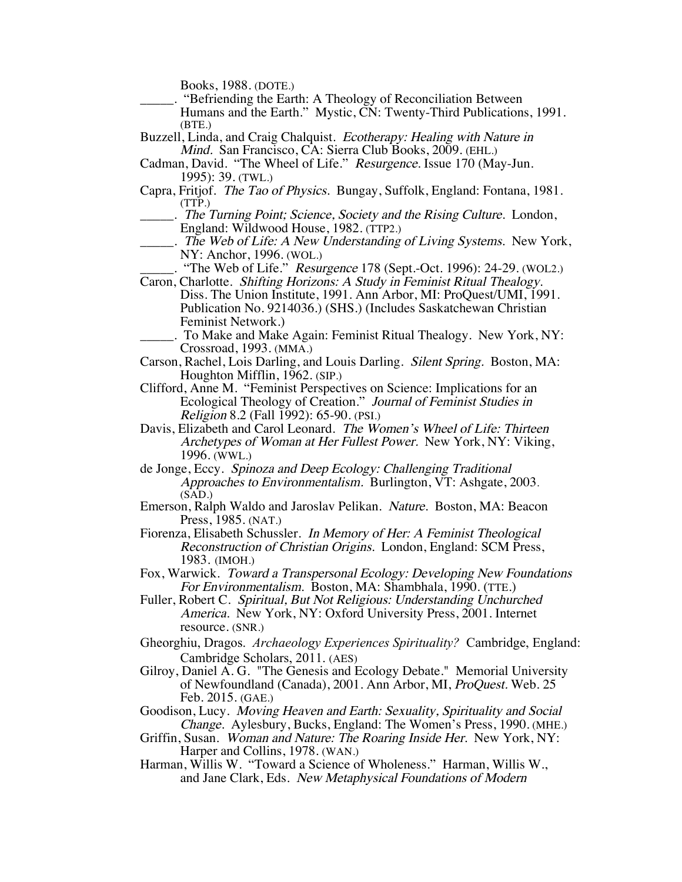Books, 1988. (DOTE.)

- \_\_\_\_\_. "Befriending the Earth: A Theology of Reconciliation Between Humans and the Earth." Mystic, CN: Twenty-Third Publications, 1991. (BTE.)
- Buzzell, Linda, and Craig Chalquist. Ecotherapy: Healing with Nature in Mind. San Francisco, CA: Sierra Club Books, 2009. (EHL.)
- Cadman, David. "The Wheel of Life." Resurgence. Issue 170 (May-Jun. 1995): 39. (TWL.)
- Capra, Fritjof. The Tao of Physics. Bungay, Suffolk, England: Fontana, 1981. (TTP.)
	- . The Turning Point; Science, Society and the Rising Culture. London, England: Wildwood House, 1982. (TTP2.)
- ... The Web of Life: A New Understanding of Living Systems. New York, NY: Anchor, 1996. (WOL.)
	- . "The Web of Life." *Resurgence* 178 (Sept.-Oct. 1996): 24-29. (WOL2.)
- Caron, Charlotte. Shifting Horizons: A Study in Feminist Ritual Thealogy. Diss. The Union Institute, 1991. Ann Arbor, MI: ProQuest/UMI, 1991. Publication No. 9214036.) (SHS.) (Includes Saskatchewan Christian Feminist Network.)
	- \_\_\_\_\_. To Make and Make Again: Feminist Ritual Thealogy. New York, NY: Crossroad, 1993. (MMA.)
- Carson, Rachel, Lois Darling, and Louis Darling. Silent Spring. Boston, MA: Houghton Mifflin, 1962. (SIP.)
- Clifford, Anne M. "Feminist Perspectives on Science: Implications for an Ecological Theology of Creation." Journal of Feminist Studies in Religion 8.2 (Fall 1992): 65-90. (PSI.)
- Davis, Elizabeth and Carol Leonard. The Women's Wheel of Life: Thirteen Archetypes of Woman at Her Fullest Power. New York, NY: Viking, 1996. (WWL.)
- de Jonge, Eccy. Spinoza and Deep Ecology: Challenging Traditional Approaches to Environmentalism. Burlington, VT: Ashgate, 2003.  $(SAD.)$
- Emerson, Ralph Waldo and Jaroslav Pelikan. Nature. Boston, MA: Beacon Press, 1985. (NAT.)
- Fiorenza, Elisabeth Schussler. In Memory of Her: A Feminist Theological Reconstruction of Christian Origins. London, England: SCM Press, 1983. (IMOH.)
- Fox, Warwick. Toward a Transpersonal Ecology: Developing New Foundations For Environmentalism. Boston, MA: Shambhala, 1990. (TTE.)
- Fuller, Robert C. Spiritual, But Not Religious: Understanding Unchurched America. New York, NY: Oxford University Press, 2001. Internet resource. (SNR.)
- Gheorghiu, Dragos. *Archaeology Experiences Spirituality?* Cambridge, England: Cambridge Scholars, 2011. (AES)
- Gilroy, Daniel A. G. "The Genesis and Ecology Debate." Memorial University of Newfoundland (Canada), 2001. Ann Arbor, MI, ProQuest. Web. 25 Feb. 2015. (GAE.)
- Goodison, Lucy. Moving Heaven and Earth: Sexuality, Spirituality and Social Change. Aylesbury, Bucks, England: The Women's Press, 1990. (MHE.)
- Griffin, Susan. Woman and Nature: The Roaring Inside Her. New York, NY: Harper and Collins, 1978. (WAN.)
- Harman, Willis W. "Toward a Science of Wholeness." Harman, Willis W., and Jane Clark, Eds. New Metaphysical Foundations of Modern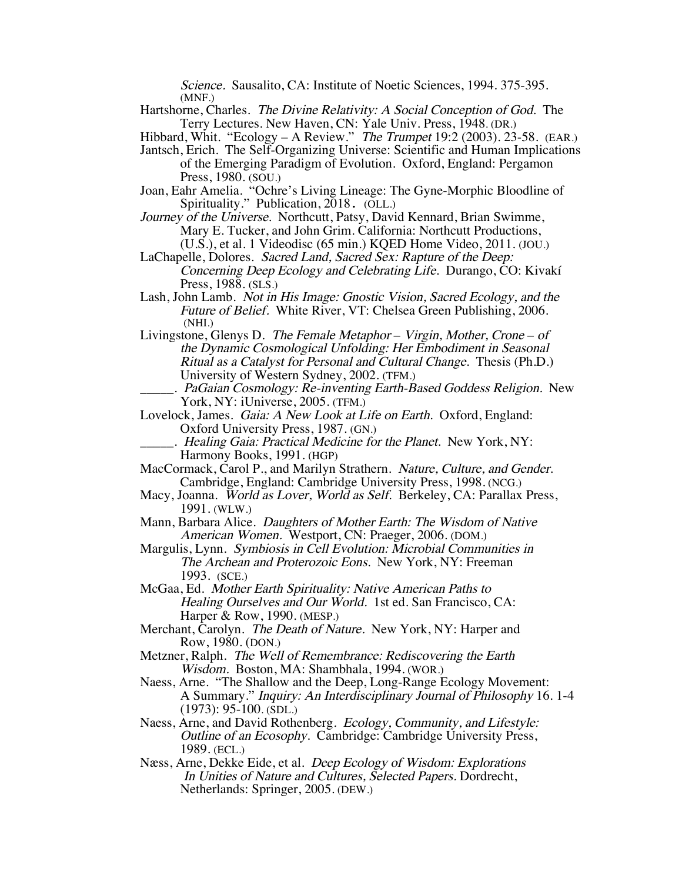Science. Sausalito, CA: Institute of Noetic Sciences, 1994. 375-395. (MNF.)

Hartshorne, Charles. The Divine Relativity: A Social Conception of God. The Terry Lectures. New Haven, CN: Yale Univ. Press, 1948. (DR.)

Hibbard, Whit. "Ecology – A Review." The Trumpet 19:2 (2003). 23-58. (EAR.)

Jantsch, Erich. The Self-Organizing Universe: Scientific and Human Implications of the Emerging Paradigm of Evolution. Oxford, England: Pergamon Press, 1980. (SOU.)

- Joan, Eahr Amelia. "Ochre's Living Lineage: The Gyne-Morphic Bloodline of Spirituality." Publication, 2018. (OLL.)
- Journey of the Universe. Northcutt, Patsy, David Kennard, Brian Swimme, Mary E. Tucker, and John Grim. California: Northcutt Productions, (U.S.), et al. 1 Videodisc (65 min.) KQED Home Video, 2011. (JOU.)
- LaChapelle, Dolores. Sacred Land, Sacred Sex: Rapture of the Deep: Concerning Deep Ecology and Celebrating Life. Durango, CO: Kivakí
- Press, 1988. (SLS.) Lash, John Lamb. Not in His Image: Gnostic Vision, Sacred Ecology, and the Future of Belief. White River, VT: Chelsea Green Publishing, 2006. (NHI.)
- Livingstone, Glenys D. The Female Metaphor Virgin, Mother, Crone of the Dynamic Cosmological Unfolding: Her Embodiment in Seasonal Ritual as a Catalyst for Personal and Cultural Change. Thesis (Ph.D.) University of Western Sydney, 2002. (TFM.)
- PaGaian Cosmology: Re-inventing Earth-Based Goddess Religion. New York, NY: iUniverse, 2005. (TFM.)
- Lovelock, James. Gaia: A New Look at Life on Earth. Oxford, England: Oxford University Press, 1987. (GN.)
	- . Healing Gaia: Practical Medicine for the Planet. New York, NY: Harmony Books, 1991. (HGP)
- MacCormack, Carol P., and Marilyn Strathern. Nature, Culture, and Gender. Cambridge, England: Cambridge University Press, 1998. (NCG.)
- Macy, Joanna. World as Lover, World as Self. Berkeley, CA: Parallax Press, 1991. (WLW.)
- Mann, Barbara Alice. Daughters of Mother Earth: The Wisdom of Native American Women. Westport, CN: Praeger, 2006. (DOM.)
- Margulis, Lynn. Symbiosis in Cell Evolution: Microbial Communities in The Archean and Proterozoic Eons. New York, NY: Freeman 1993. (SCE.)

McGaa, Ed. Mother Earth Spirituality: Native American Paths to Healing Ourselves and Our World. 1st ed. San Francisco, CA: Harper & Row, 1990. (MESP.)

- Merchant, Carolyn. The Death of Nature. New York, NY: Harper and Row, 1980. (DON.)
- Metzner, Ralph. The Well of Remembrance: Rediscovering the Earth Wisdom. Boston, MA: Shambhala, 1994. (WOR.)
- Naess, Arne. "The Shallow and the Deep, Long-Range Ecology Movement: A Summary." Inquiry: An Interdisciplinary Journal of Philosophy 16. 1-4 (1973): 95-100. (SDL.)
- Naess, Arne, and David Rothenberg. Ecology, Community, and Lifestyle: Outline of an Ecosophy. Cambridge: Cambridge University Press, 1989. (ECL.)
- Næss, Arne, Dekke Eide, et al. Deep Ecology of Wisdom: Explorations In Unities of Nature and Cultures, Selected Papers. Dordrecht, Netherlands: Springer, 2005. (DEW.)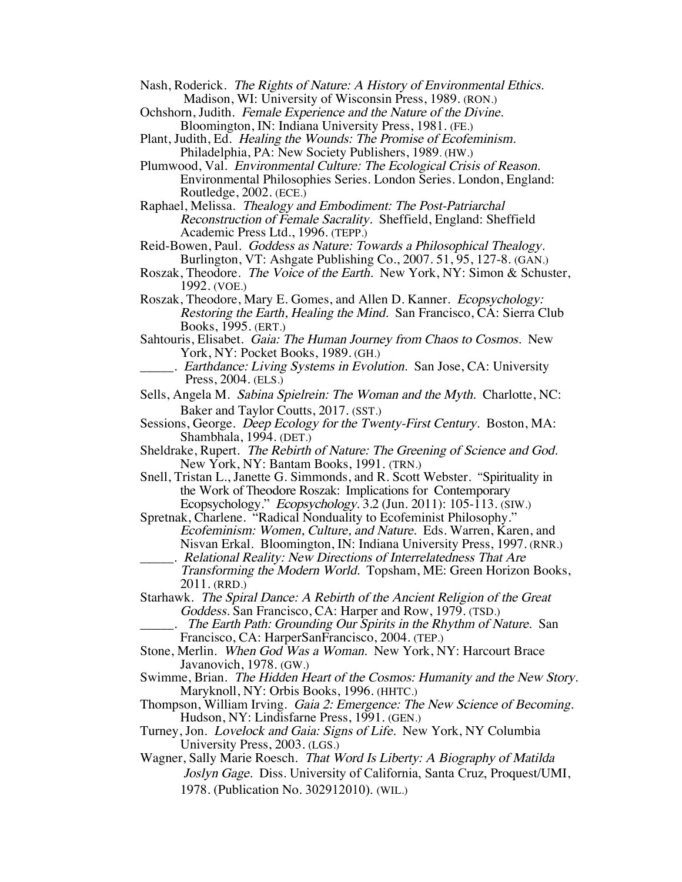Nash, Roderick. The Rights of Nature: A History of Environmental Ethics. Madison, WI: University of Wisconsin Press, 1989. (RON.)

- Ochshorn, Judith. Female Experience and the Nature of the Divine. Bloomington, IN: Indiana University Press, 1981. (FE.)
- Plant, Judith, Ed. Healing the Wounds: The Promise of Ecofeminism. Philadelphia, PA: New Society Publishers, 1989. (HW.)

Plumwood, Val. Environmental Culture: The Ecological Crisis of Reason. Environmental Philosophies Series. London Series. London, England: Routledge, 2002. (ECE.)

Raphael, Melissa. Thealogy and Embodiment: The Post-Patriarchal Reconstruction of Female Sacrality. Sheffield, England: Sheffield Academic Press Ltd., 1996. (TEPP.)

Reid-Bowen, Paul. Goddess as Nature: Towards a Philosophical Thealogy. Burlington, VT: Ashgate Publishing Co., 2007. 51, 95, 127-8. (GAN.)

- Roszak, Theodore. *The Voice of the Earth*. New York, NY: Simon & Schuster, 1992. (VOE.)
- Roszak, Theodore, Mary E. Gomes, and Allen D. Kanner. Ecopsychology: Restoring the Earth, Healing the Mind. San Francisco, CA: Sierra Club Books, 1995. (ERT.)

Sahtouris, Elisabet. Gaia: The Human Journey from Chaos to Cosmos. New York, NY: Pocket Books, 1989. (GH.)

\_\_\_\_\_. Earthdance: Living Systems in Evolution. San Jose, CA: University Press, 2004. (ELS.)

Sells, Angela M. Sabina Spielrein: The Woman and the Myth. Charlotte, NC: Baker and Taylor Coutts, 2017. (SST.)

Sessions, George. Deep Ecology for the Twenty-First Century. Boston, MA: Shambhala, 1994. (DET.)

Sheldrake, Rupert. The Rebirth of Nature: The Greening of Science and God. New York, NY: Bantam Books, 1991. (TRN.)

- Snell, Tristan L., Janette G. Simmonds, and R. Scott Webster. "Spirituality in the Work of Theodore Roszak: Implications for Contemporary Ecopsychology." Ecopsychology. 3.2 (Jun. 2011): 105-113. (SIW.)
- Spretnak, Charlene. "Radical Nonduality to Ecofeminist Philosophy." Ecofeminism: Women, Culture, and Nature. Eds. Warren, Karen, and Nisvan Erkal. Bloomington, IN: Indiana University Press, 1997. (RNR.) \_\_\_\_\_. Relational Reality: New Directions of Interrelatedness That Are
	- Transforming the Modern World. Topsham, ME: Green Horizon Books, 2011. (RRD.)

Starhawk. The Spiral Dance: A Rebirth of the Ancient Religion of the Great Goddess. San Francisco, CA: Harper and Row, 1979. (TSD.)

- The Earth Path: Grounding Our Spirits in the Rhythm of Nature. San Francisco, CA: HarperSanFrancisco, 2004. (TEP.)
- Stone, Merlin. When God Was a Woman. New York, NY: Harcourt Brace Javanovich, 1978. (GW.)
- Swimme, Brian. The Hidden Heart of the Cosmos: Humanity and the New Story.<br>Maryknoll, NY: Orbis Books, 1996. (HHTC.)
- Thompson, William Irving. Gaia 2: Emergence: The New Science of Becoming. Hudson, NY: Lindisfarne Press, 1991. (GEN.)
- Turney, Jon. *Lovelock and Gaia: Signs of Life.* New York, NY Columbia University Press, 2003. (LGS.)
- Wagner, Sally Marie Roesch. That Word Is Liberty: A Biography of Matilda Joslyn Gage. Diss. University of California, Santa Cruz, Proquest/UMI, 1978. (Publication No. 302912010). (WIL.)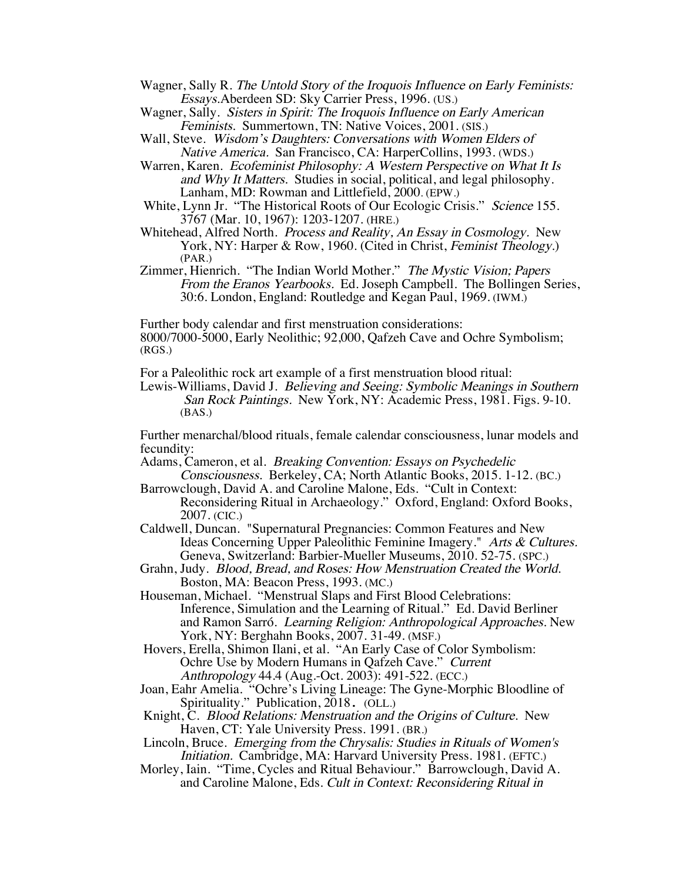Wagner, Sally R. The Untold Story of the Iroquois Influence on Early Feminists: Essays.Aberdeen SD: Sky Carrier Press, 1996. (US.)

Wagner, Sally. Sisters in Spirit: The Iroquois Influence on Early American Feminists. Summertown, TN: Native Voices, 2001. (SIS.)

- Wall, Steve. Wisdom's Daughters: Conversations with Women Elders of Native America. San Francisco, CA: HarperCollins, 1993. (WDS.)
- Warren, Karen. Ecofeminist Philosophy: A Western Perspective on What It Is and Why It Matters. Studies in social, political, and legal philosophy. Lanham, MD: Rowman and Littlefield, 2000. (EPW.)
- White, Lynn Jr. "The Historical Roots of Our Ecologic Crisis." Science 155. 3767 (Mar. 10, 1967): 1203-1207. (HRE.)
- Whitehead, Alfred North. Process and Reality, An Essay in Cosmology. New York, NY: Harper & Row, 1960. (Cited in Christ, Feminist Theology.) (PAR.)
- Zimmer, Hienrich. "The Indian World Mother." The Mystic Vision; Papers From the Eranos Yearbooks. Ed. Joseph Campbell. The Bollingen Series, 30:6. London, England: Routledge and Kegan Paul, 1969. (IWM.)

Further body calendar and first menstruation considerations: 8000/7000-5000, Early Neolithic; 92,000, Qafzeh Cave and Ochre Symbolism; (RGS.)

For a Paleolithic rock art example of a first menstruation blood ritual:

Lewis-Williams, David J. Believing and Seeing: Symbolic Meanings in Southern San Rock Paintings. New York, NY: Academic Press, 1981. Figs. 9-10. (BAS.)

Further menarchal/blood rituals, female calendar consciousness, lunar models and fecundity:

Adams, Cameron, et al. Breaking Convention: Essays on Psychedelic Consciousness. Berkeley, CA; North Atlantic Books, 2015. 1-12. (BC.)

- Barrowclough, David A. and Caroline Malone, Eds. "Cult in Context: Reconsidering Ritual in Archaeology." Oxford, England: Oxford Books, 2007. (CIC.)
- Caldwell, Duncan. "Supernatural Pregnancies: Common Features and New Ideas Concerning Upper Paleolithic Feminine Imagery." Arts & Cultures. Geneva, Switzerland: Barbier-Mueller Museums, 2010. 52-75. (SPC.)
- Grahn, Judy. Blood, Bread, and Roses: How Menstruation Created the World. Boston, MA: Beacon Press, 1993. (MC.)
- Houseman, Michael. "Menstrual Slaps and First Blood Celebrations: Inference, Simulation and the Learning of Ritual." Ed. David Berliner and Ramon Sarró. Learning Religion: Anthropological Approaches. New York, NY: Berghahn Books, 2007. 31-49. (MSF.)

Hovers, Erella, Shimon Ilani, et al. "An Early Case of Color Symbolism: Ochre Use by Modern Humans in Qafzeh Cave." Current Anthropology 44.4 (Aug.-Oct. 2003): 491-522. (ECC.)

- Joan, Eahr Amelia. "Ochre's Living Lineage: The Gyne-Morphic Bloodline of Spirituality." Publication, 2018. (OLL.)
- Knight, C. Blood Relations: Menstruation and the Origins of Culture. New Haven, CT: Yale University Press. 1991. (BR.)
- Lincoln, Bruce. Emerging from the Chrysalis: Studies in Rituals of Women's Initiation. Cambridge, MA: Harvard University Press. 1981. (EFTC.)
- Morley, Iain. "Time, Cycles and Ritual Behaviour." Barrowclough, David A. and Caroline Malone, Eds. Cult in Context: Reconsidering Ritual in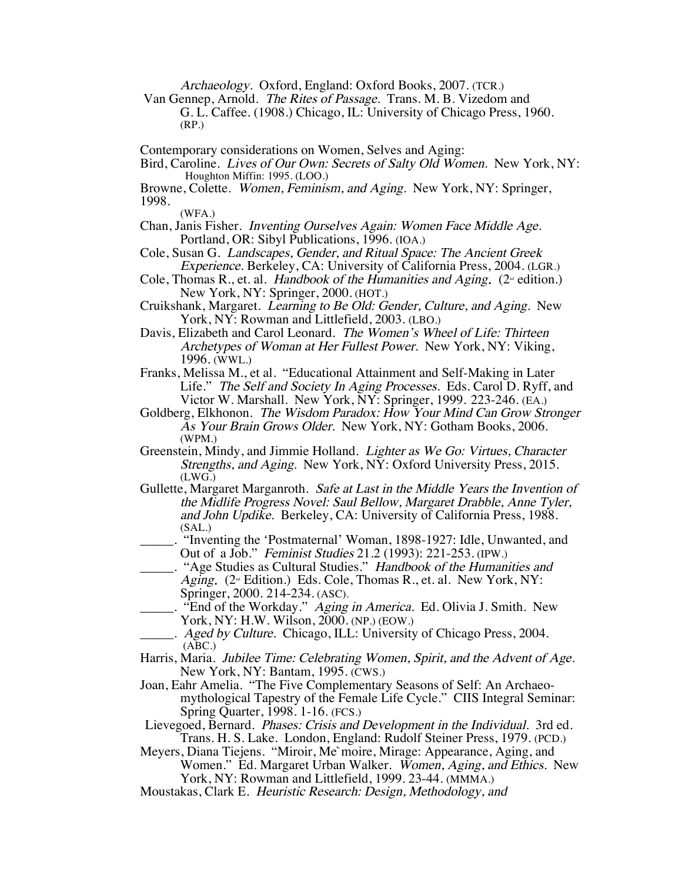Archaeology. Oxford, England: Oxford Books, 2007. (TCR.)

Van Gennep, Arnold. The Rites of Passage. Trans. M. B. Vizedom and G. L. Caffee. (1908.) Chicago, IL: University of Chicago Press, 1960. (RP.)

Contemporary considerations on Women, Selves and Aging:

Bird, Caroline. Lives of Our Own: Secrets of Salty Old Women. New York, NY: Houghton Miffin: 1995. (LOO.)

Browne, Colette. Women, Feminism, and Aging. New York, NY: Springer, 1998.

(WFA.)

Chan, Janis Fisher. Inventing Ourselves Again: Women Face Middle Age. Portland, OR: Sibyl Publications, 1996. (IOA.)

- Cole, Susan G. Landscapes, Gender, and Ritual Space: The Ancient Greek Experience. Berkeley, CA: University of California Press, 2004. (LGR.)
- Cole, Thomas R., et. al. Handbook of the Humanities and Aging. ( $2^{\omega}$  edition.) New York, NY: Springer, 2000. (HOT.)
- Cruikshank, Margaret. Learning to Be Old: Gender, Culture, and Aging. New York, NY: Rowman and Littlefield, 2003. (LBO.)
- Davis, Elizabeth and Carol Leonard. The Women's Wheel of Life: Thirteen Archetypes of Woman at Her Fullest Power. New York, NY: Viking, 1996. (WWL.)
- Franks, Melissa M., et al. "Educational Attainment and Self-Making in Later Life." The Self and Society In Aging Processes. Eds. Carol D. Ryff, and Victor W. Marshall. New York, NY: Springer, 1999. 223-246. (EA.)
- Goldberg, Elkhonon. The Wisdom Paradox: How Your Mind Can Grow Stronger As Your Brain Grows Older. New York, NY: Gotham Books, 2006. (WPM.)
- Greenstein, Mindy, and Jimmie Holland. *Lighter as We Go: Virtues, Character* Strengths, and Aging. New York, NY: Oxford University Press, 2015.  $(LWG.)$
- Gullette, Margaret Marganroth. Safe at Last in the Middle Years the Invention of the Midlife Progress Novel: Saul Bellow, Margaret Drabble, Anne Tyler, and John Updike. Berkeley, CA: University of California Press, 1988. (SAL.)
- \_\_\_\_\_. "Inventing the 'Postmaternal' Woman, 1898-1927: Idle, Unwanted, and Out of a Job." Feminist Studies 21.2 (1993): 221-253. (IPW.)
- \_\_\_\_\_. "Age Studies as Cultural Studies." Handbook of the Humanities and Aging. ( $2^{\omega}$  Edition.) Eds. Cole, Thomas R., et. al. New York, NY: Springer, 2000. 214-234. (ASC).
- "End of the Workday." Aging in America. Ed. Olivia J. Smith. New York, NY: H.W. Wilson, 2000. (NP.) (EOW.)
- . Aged by Culture. Chicago, ILL: University of Chicago Press, 2004. (ABC.)
- Harris, Maria. Jubilee Time: Celebrating Women, Spirit, and the Advent of Age. New York, NY: Bantam, 1995. (CWS.)<br>Joan, Eahr Amelia. "The Five Complementary Seasons of Self: An Archaeo-
- mythological Tapestry of the Female Life Cycle." CIIS Integral Seminar: Spring Quarter, 1998. 1-16. (FCS.)

Lievegoed, Bernard. Phases: Crisis and Development in the Individual. 3rd ed. Trans. H. S. Lake. London, England: Rudolf Steiner Press, 1979. (PCD.)

Meyers, Diana Tiejens. "Miroir, Me`moire, Mirage: Appearance, Aging, and Women." Ed. Margaret Urban Walker. Women, Aging, and Ethics. New York, NY: Rowman and Littlefield, 1999. 23-44. (MMMA.)

Moustakas, Clark E. Heuristic Research: Design, Methodology, and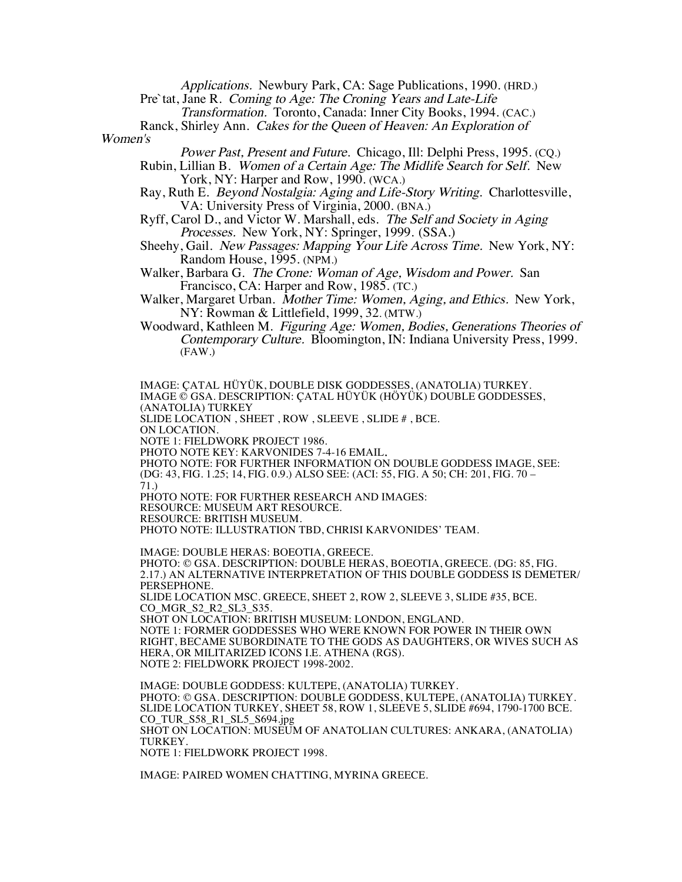Applications. Newbury Park, CA: Sage Publications, 1990. (HRD.)

Pre`tat, Jane R. Coming to Age: The Croning Years and Late-Life

Transformation. Toronto, Canada: Inner City Books, 1994. (CAC.)

Ranck, Shirley Ann. Cakes for the Queen of Heaven: An Exploration of Women's

Power Past, Present and Future. Chicago, Ill: Delphi Press, 1995. (CQ.)

- Rubin, Lillian B. Women of a Certain Age: The Midlife Search for Self. New York, NY: Harper and Row, 1990. (WCA.)
- Ray, Ruth E. Beyond Nostalgia: Aging and Life-Story Writing. Charlottesville, VA: University Press of Virginia, 2000. (BNA.)
- Ryff, Carol D., and Victor W. Marshall, eds. The Self and Society in Aging Processes. New York, NY: Springer, 1999. (SSA.)
- Sheehy, Gail. New Passages: Mapping Your Life Across Time. New York, NY: Random House, 1995. (NPM.)
- Walker, Barbara G. The Crone: Woman of Age, Wisdom and Power. San Francisco, CA: Harper and Row, 1985. (TC.)
- Walker, Margaret Urban. Mother Time: Women, Aging, and Ethics. New York, NY: Rowman & Littlefield, 1999, 32. (MTW.)
- Woodward, Kathleen M. Figuring Age: Women, Bodies, Generations Theories of Contemporary Culture. Bloomington, IN: Indiana University Press, 1999. (FAW.)

IMAGE: ÇATAL HÜYÜK, DOUBLE DISK GODDESSES, (ANATOLIA) TURKEY. IMAGE © GSA. DESCRIPTION: ÇATAL HÜYÜK (HÖYÜK) DOUBLE GODDESSES, (ANATOLIA) TURKEY SLIDE LOCATION , SHEET , ROW , SLEEVE , SLIDE # , BCE. ON LOCATION. NOTE 1: FIELDWORK PROJECT 1986. PHOTO NOTE KEY: KARVONIDES 7-4-16 EMAIL. PHOTO NOTE: FOR FURTHER INFORMATION ON DOUBLE GODDESS IMAGE, SEE: (DG: 43, FIG. 1.25; 14, FIG. 0.9.) ALSO SEE: (ACI: 55, FIG. A 50; CH: 201, FIG. 70 – 71.) PHOTO NOTE: FOR FURTHER RESEARCH AND IMAGES: RESOURCE: MUSEUM ART RESOURCE. RESOURCE: BRITISH MUSEUM. PHOTO NOTE: ILLUSTRATION TBD, CHRISI KARVONIDES' TEAM.

IMAGE: DOUBLE HERAS: BOEOTIA, GREECE. PHOTO: © GSA. DESCRIPTION: DOUBLE HERAS, BOEOTIA, GREECE. (DG: 85, FIG. 2.17.) AN ALTERNATIVE INTERPRETATION OF THIS DOUBLE GODDESS IS DEMETER/ PERSEPHONE. SLIDE LOCATION MSC. GREECE, SHEET 2, ROW 2, SLEEVE 3, SLIDE #35, BCE. CO\_MGR\_S2\_R2\_SL3\_S35. SHOT ON LOCATION: BRITISH MUSEUM: LONDON, ENGLAND. NOTE 1: FORMER GODDESSES WHO WERE KNOWN FOR POWER IN THEIR OWN RIGHT, BECAME SUBORDINATE TO THE GODS AS DAUGHTERS, OR WIVES SUCH AS HERA, OR MILITARIZED ICONS I.E. ATHENA (RGS). NOTE 2: FIELDWORK PROJECT 1998-2002.

IMAGE: DOUBLE GODDESS: KULTEPE, (ANATOLIA) TURKEY. PHOTO: © GSA. DESCRIPTION: DOUBLE GODDESS, KULTEPE, (ANATOLIA) TURKEY. SLIDE LOCATION TURKEY, SHEET 58, ROW 1, SLEEVE 5, SLIDE #694, 1790-1700 BCE. CO\_TUR\_S58\_R1\_SL5\_S694.jpg SHOT ON LOCATION: MUSEUM OF ANATOLIAN CULTURES: ANKARA, (ANATOLIA) TURKEY. NOTE 1: FIELDWORK PROJECT 1998.

IMAGE: PAIRED WOMEN CHATTING, MYRINA GREECE.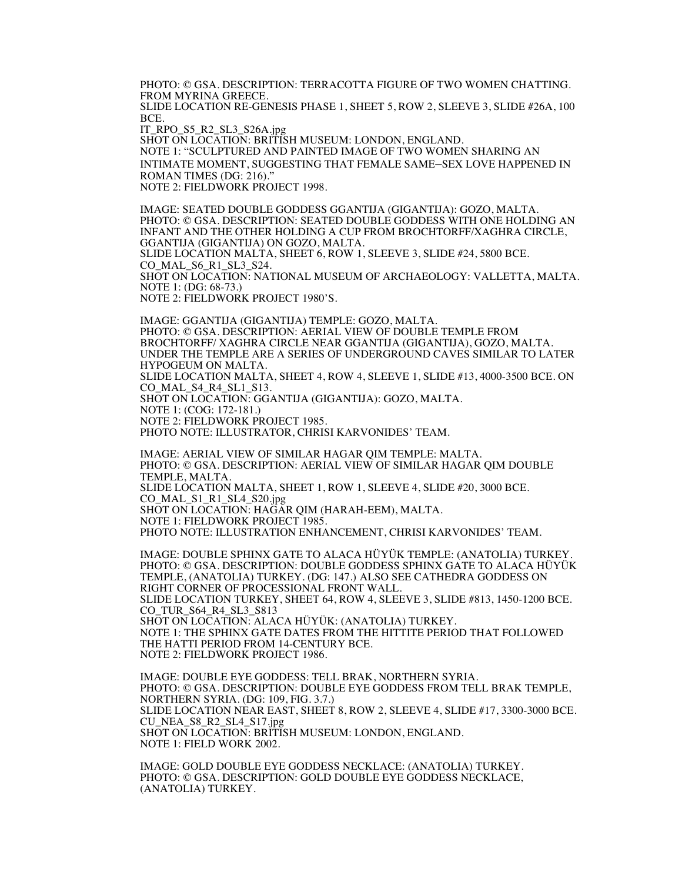PHOTO: © GSA. DESCRIPTION: TERRACOTTA FIGURE OF TWO WOMEN CHATTING. FROM MYRINA GREECE. SLIDE LOCATION RE-GENESIS PHASE 1, SHEET 5, ROW 2, SLEEVE 3, SLIDE #26A, 100 BCE.

IT\_RPO\_S5\_R2\_SL3\_S26A.jpg

SHOT ON LOCATION: BRITISH MUSEUM: LONDON, ENGLAND. NOTE 1: "SCULPTURED AND PAINTED IMAGE OF TWO WOMEN SHARING AN INTIMATE MOMENT, SUGGESTING THAT FEMALE SAME–SEX LOVE HAPPENED IN ROMAN TIMES (DG: 216)." NOTE 2: FIELDWORK PROJECT 1998.

IMAGE: SEATED DOUBLE GODDESS GGANTIJA (GIGANTIJA): GOZO, MALTA. PHOTO: © GSA. DESCRIPTION: SEATED DOUBLE GODDESS WITH ONE HOLDING AN INFANT AND THE OTHER HOLDING A CUP FROM BROCHTORFF/XAGHRA CIRCLE, GGANTIJA (GIGANTIJA) ON GOZO, MALTA. SLIDE LOCATION MALTA, SHEET 6, ROW 1, SLEEVE 3, SLIDE #24, 5800 BCE. CO MAL S6 R1 SL3 S24. SHOT ON LOCATION: NATIONAL MUSEUM OF ARCHAEOLOGY: VALLETTA, MALTA. NOTE 1: (DG: 68-73.)

NOTE 2: FIELDWORK PROJECT 1980'S.

IMAGE: GGANTIJA (GIGANTIJA) TEMPLE: GOZO, MALTA. PHOTO: © GSA. DESCRIPTION: AERIAL VIEW OF DOUBLE TEMPLE FROM BROCHTORFF/ XAGHRA CIRCLE NEAR GGANTIJA (GIGANTIJA), GOZO, MALTA. UNDER THE TEMPLE ARE A SERIES OF UNDERGROUND CAVES SIMILAR TO LATER HYPOGEUM ON MALTA. SLIDE LOCATION MALTA, SHEET 4, ROW 4, SLEEVE 1, SLIDE #13, 4000-3500 BCE. ON CO\_MAL\_S4\_R4\_SL1\_S13. SHOT ON LOCATION: GGANTIJA (GIGANTIJA): GOZO, MALTA. NOTE 1: (COG: 172-181.) NOTE 2: FIELDWORK PROJECT 1985. PHOTO NOTE: ILLUSTRATOR, CHRISI KARVONIDES' TEAM.

IMAGE: AERIAL VIEW OF SIMILAR HAGAR QIM TEMPLE: MALTA. PHOTO: © GSA. DESCRIPTION: AERIAL VIEW OF SIMILAR HAGAR QIM DOUBLE TEMPLE, MALTA. SLIDE LOCATION MALTA, SHEET 1, ROW 1, SLEEVE 4, SLIDE #20, 3000 BCE. CO\_MAL\_S1\_R1\_SL4\_S20.jpg SHOT ON LOCATION: HAGAR QIM (HARAH-EEM), MALTA. NOTE 1: FIELDWORK PROJECT 1985. PHOTO NOTE: ILLUSTRATION ENHANCEMENT, CHRISI KARVONIDES' TEAM.

IMAGE: DOUBLE SPHINX GATE TO ALACA HÜYÜK TEMPLE: (ANATOLIA) TURKEY. PHOTO: © GSA. DESCRIPTION: DOUBLE GODDESS SPHINX GATE TO ALACA HÜYÜK TEMPLE, (ANATOLIA) TURKEY. (DG: 147.) ALSO SEE CATHEDRA GODDESS ON RIGHT CORNER OF PROCESSIONAL FRONT WALL. SLIDE LOCATION TURKEY, SHEET 64, ROW 4, SLEEVE 3, SLIDE #813, 1450-1200 BCE. CO\_TUR\_S64\_R4\_SL3\_S813 SHOT ON LOCATION: ALACA HÜYÜK: (ANATOLIA) TURKEY. NOTE 1: THE SPHINX GATE DATES FROM THE HITTITE PERIOD THAT FOLLOWED THE HATTI PERIOD FROM 14-CENTURY BCE. NOTE 2: FIELDWORK PROJECT 1986.

IMAGE: DOUBLE EYE GODDESS: TELL BRAK, NORTHERN SYRIA. PHOTO: © GSA. DESCRIPTION: DOUBLE EYE GODDESS FROM TELL BRAK TEMPLE, NORTHERN SYRIA. (DG: 109, FIG. 3.7.) SLIDE LOCATION NEAR EAST, SHEET 8, ROW 2, SLEEVE 4, SLIDE #17, 3300-3000 BCE. CU\_NEA\_S8\_R2\_SL4\_S17.jpg SHOT ON LOCATION: BRITISH MUSEUM: LONDON, ENGLAND. NOTE 1: FIELD WORK 2002.

IMAGE: GOLD DOUBLE EYE GODDESS NECKLACE: (ANATOLIA) TURKEY. PHOTO: © GSA. DESCRIPTION: GOLD DOUBLE EYE GODDESS NECKLACE, (ANATOLIA) TURKEY.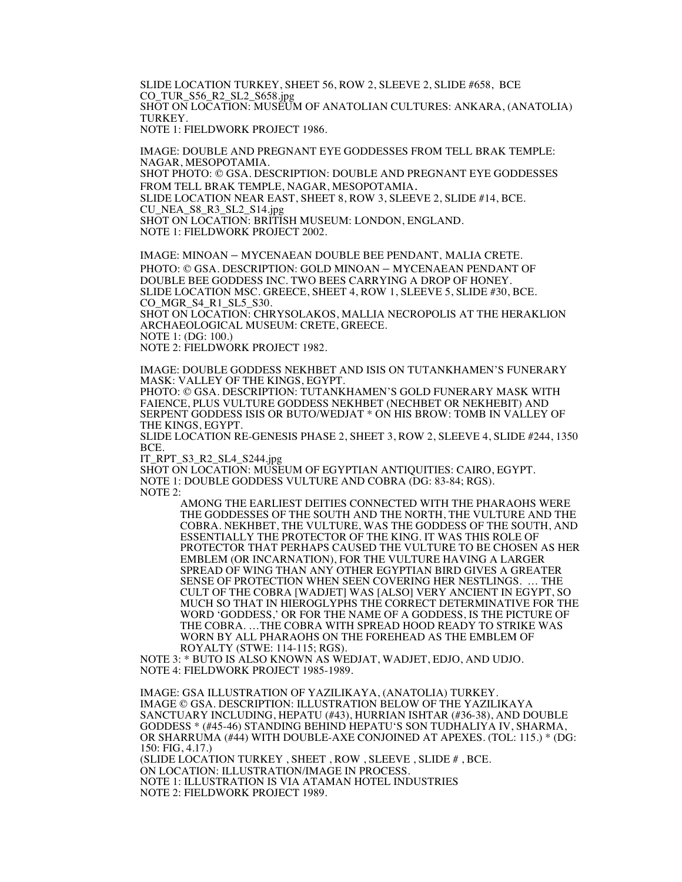SLIDE LOCATION TURKEY, SHEET 56, ROW 2, SLEEVE 2, SLIDE #658, BCE CO\_TUR\_S56\_R2\_SL2\_S658.jpg SHOT ON LOCATION: MUSEUM OF ANATOLIAN CULTURES: ANKARA, (ANATOLIA) TURKEY. NOTE 1: FIELDWORK PROJECT 1986.

IMAGE: DOUBLE AND PREGNANT EYE GODDESSES FROM TELL BRAK TEMPLE: NAGAR, MESOPOTAMIA. SHOT PHOTO: © GSA. DESCRIPTION: DOUBLE AND PREGNANT EYE GODDESSES FROM TELL BRAK TEMPLE, NAGAR, MESOPOTAMIA. SLIDE LOCATION NEAR EAST, SHEET 8, ROW 3, SLEEVE 2, SLIDE #14, BCE. CU\_NEA\_S8\_R3\_SL2\_S14.jpg SHOT ON LOCATION: BRITISH MUSEUM: LONDON, ENGLAND. NOTE 1: FIELDWORK PROJECT 2002.

IMAGE: MINOAN – MYCENAEAN DOUBLE BEE PENDANT, MALIA CRETE. PHOTO: © GSA. DESCRIPTION: GOLD MINOAN – MYCENAEAN PENDANT OF DOUBLE BEE GODDESS INC. TWO BEES CARRYING A DROP OF HONEY. SLIDE LOCATION MSC. GREECE, SHEET 4, ROW 1, SLEEVE 5, SLIDE #30, BCE. CO\_MGR\_S4\_R1\_SL5\_S30. SHOT ON LOCATION: CHRYSOLAKOS, MALLIA NECROPOLIS AT THE HERAKLION

ARCHAEOLOGICAL MUSEUM: CRETE, GREECE. NOTE 1: (DG: 100.)

NOTE 2: FIELDWORK PROJECT 1982.

IMAGE: DOUBLE GODDESS NEKHBET AND ISIS ON TUTANKHAMEN'S FUNERARY MASK: VALLEY OF THE KINGS, EGYPT.

PHOTO: © GSA. DESCRIPTION: TUTANKHAMEN'S GOLD FUNERARY MASK WITH FAIENCE, PLUS VULTURE GODDESS NEKHBET (NECHBET OR NEKHEBIT) AND SERPENT GODDESS ISIS OR BUTO/WEDJAT \* ON HIS BROW: TOMB IN VALLEY OF THE KINGS, EGYPT.

SLIDE LOCATION RE-GENESIS PHASE 2, SHEET 3, ROW 2, SLEEVE 4, SLIDE #244, 1350 BCE.

IT\_RPT\_S3\_R2\_SL4\_S244.jpg

SHOT ON LOCATION: MUSEUM OF EGYPTIAN ANTIQUITIES: CAIRO, EGYPT. NOTE 1: DOUBLE GODDESS VULTURE AND COBRA (DG: 83-84; RGS). NOTE 2:

AMONG THE EARLIEST DEITIES CONNECTED WITH THE PHARAOHS WERE THE GODDESSES OF THE SOUTH AND THE NORTH, THE VULTURE AND THE COBRA. NEKHBET, THE VULTURE, WAS THE GODDESS OF THE SOUTH, AND ESSENTIALLY THE PROTECTOR OF THE KING. IT WAS THIS ROLE OF PROTECTOR THAT PERHAPS CAUSED THE VULTURE TO BE CHOSEN AS HER EMBLEM (OR INCARNATION), FOR THE VULTURE HAVING A LARGER SPREAD OF WING THAN ANY OTHER EGYPTIAN BIRD GIVES A GREATER SENSE OF PROTECTION WHEN SEEN COVERING HER NESTLINGS. … THE CULT OF THE COBRA [WADJET] WAS [ALSO] VERY ANCIENT IN EGYPT, SO MUCH SO THAT IN HIEROGLYPHS THE CORRECT DETERMINATIVE FOR THE WORD 'GODDESS,' OR FOR THE NAME OF A GODDESS, IS THE PICTURE OF THE COBRA. …THE COBRA WITH SPREAD HOOD READY TO STRIKE WAS WORN BY ALL PHARAOHS ON THE FOREHEAD AS THE EMBLEM OF ROYALTY (STWE: 114-115; RGS).

NOTE 3: \* BUTO IS ALSO KNOWN AS WEDJAT, WADJET, EDJO, AND UDJO. NOTE 4: FIELDWORK PROJECT 1985-1989.

IMAGE: GSA ILLUSTRATION OF YAZILIKAYA, (ANATOLIA) TURKEY. IMAGE © GSA. DESCRIPTION: ILLUSTRATION BELOW OF THE YAZILIKAYA SANCTUARY INCLUDING, HEPATU (#43), HURRIAN ISHTAR (#36-38), AND DOUBLE GODDESS \* (#45-46) STANDING BEHIND HEPATU'S SON TUDHALIYA IV, SHARMA, OR SHARRUMA (#44) WITH DOUBLE-AXE CONJOINED AT APEXES. (TOL: 115.) \* (DG: 150: FIG, 4.17.) (SLIDE LOCATION TURKEY , SHEET , ROW , SLEEVE , SLIDE # , BCE. ON LOCATION: ILLUSTRATION/IMAGE IN PROCESS. NOTE 1: ILLUSTRATION IS VIA ATAMAN HOTEL INDUSTRIES NOTE 2: FIELDWORK PROJECT 1989.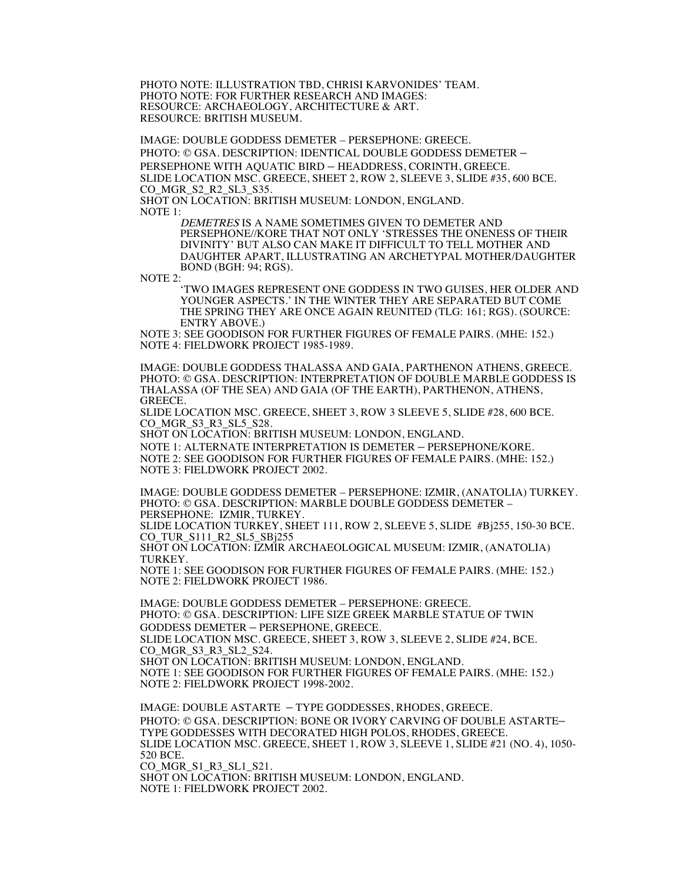PHOTO NOTE: ILLUSTRATION TBD, CHRISI KARVONIDES' TEAM. PHOTO NOTE: FOR FURTHER RESEARCH AND IMAGES: RESOURCE: ARCHAEOLOGY, ARCHITECTURE & ART. RESOURCE: BRITISH MUSEUM.

IMAGE: DOUBLE GODDESS DEMETER – PERSEPHONE: GREECE. PHOTO: © GSA. DESCRIPTION: IDENTICAL DOUBLE GODDESS DEMETER – PERSEPHONE WITH AQUATIC BIRD – HEADDRESS, CORINTH, GREECE. SLIDE LOCATION MSC. GREECE, SHEET 2, ROW 2, SLEEVE 3, SLIDE #35, 600 BCE. CO\_MGR\_S2\_R2\_SL3\_S35. SHOT ON LOCATION: BRITISH MUSEUM: LONDON, ENGLAND.

 $NOTE<sub>1</sub>$ 

DEMETRES IS A NAME SOMETIMES GIVEN TO DEMETER AND PERSEPHONE//KORE THAT NOT ONLY 'STRESSES THE ONENESS OF THEIR DIVINITY' BUT ALSO CAN MAKE IT DIFFICULT TO TELL MOTHER AND DAUGHTER APART, ILLUSTRATING AN ARCHETYPAL MOTHER/DAUGHTER BOND (BGH: 94; RGS).

NOTE 2:

'TWO IMAGES REPRESENT ONE GODDESS IN TWO GUISES, HER OLDER AND YOUNGER ASPECTS.' IN THE WINTER THEY ARE SEPARATED BUT COME THE SPRING THEY ARE ONCE AGAIN REUNITED (TLG: 161; RGS). (SOURCE: ENTRY ABOVE.)

NOTE 3: SEE GOODISON FOR FURTHER FIGURES OF FEMALE PAIRS. (MHE: 152.) NOTE 4: FIELDWORK PROJECT 1985-1989.

IMAGE: DOUBLE GODDESS THALASSA AND GAIA, PARTHENON ATHENS, GREECE. PHOTO: © GSA. DESCRIPTION: INTERPRETATION OF DOUBLE MARBLE GODDESS IS THALASSA (OF THE SEA) AND GAIA (OF THE EARTH), PARTHENON, ATHENS, GREECE.

SLIDE LOCATION MSC. GREECE, SHEET 3, ROW 3 SLEEVE 5, SLIDE #28, 600 BCE. CO\_MGR\_S3\_R3\_SL5\_S28.

SHOT ON LOCATION: BRITISH MUSEUM: LONDON, ENGLAND.

NOTE 1: ALTERNATE INTERPRETATION IS DEMETER – PERSEPHONE/KORE. NOTE 2: SEE GOODISON FOR FURTHER FIGURES OF FEMALE PAIRS. (MHE: 152.) NOTE 3: FIELDWORK PROJECT 2002.

IMAGE: DOUBLE GODDESS DEMETER – PERSEPHONE: IZMIR, (ANATOLIA) TURKEY. PHOTO: © GSA. DESCRIPTION: MARBLE DOUBLE GODDESS DEMETER – PERSEPHONE: IZMIR, TURKEY.

SLIDE LOCATION TURKEY, SHEET 111, ROW 2, SLEEVE 5, SLIDE #Bj255, 150-30 BCE. CO\_TUR\_S111\_R2\_SL5\_SBj255

SHOT ON LOCATION: IZMIR ARCHAEOLOGICAL MUSEUM: IZMIR, (ANATOLIA) TURKEY.

NOTE 1: SEE GOODISON FOR FURTHER FIGURES OF FEMALE PAIRS. (MHE: 152.) NOTE 2: FIELDWORK PROJECT 1986.

IMAGE: DOUBLE GODDESS DEMETER – PERSEPHONE: GREECE. PHOTO: © GSA. DESCRIPTION: LIFE SIZE GREEK MARBLE STATUE OF TWIN GODDESS DEMETER – PERSEPHONE, GREECE. SLIDE LOCATION MSC. GREECE, SHEET 3, ROW 3, SLEEVE 2, SLIDE #24, BCE.

CO\_MGR\_S3\_R3\_SL2\_S24. SHOT ON LOCATION: BRITISH MUSEUM: LONDON, ENGLAND. NOTE 1: SEE GOODISON FOR FURTHER FIGURES OF FEMALE PAIRS. (MHE: 152.) NOTE 2: FIELDWORK PROJECT 1998-2002.

IMAGE: DOUBLE ASTARTE – TYPE GODDESSES, RHODES, GREECE. PHOTO: © GSA. DESCRIPTION: BONE OR IVORY CARVING OF DOUBLE ASTARTE– TYPE GODDESSES WITH DECORATED HIGH POLOS, RHODES, GREECE. SLIDE LOCATION MSC. GREECE, SHEET 1, ROW 3, SLEEVE 1, SLIDE #21 (NO. 4), 1050- 520 BCE.<br>CO MGR\_S1\_R3\_SL1\_S21. SHOT ON LOCATION: BRITISH MUSEUM: LONDON, ENGLAND.

NOTE 1: FIELDWORK PROJECT 2002.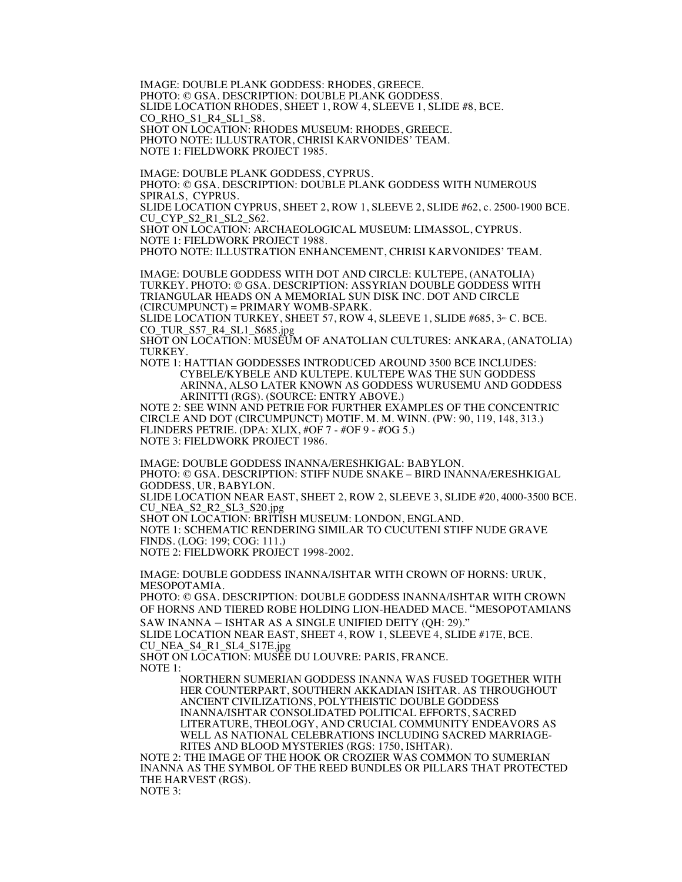IMAGE: DOUBLE PLANK GODDESS: RHODES, GREECE. PHOTO: © GSA. DESCRIPTION: DOUBLE PLANK GODDESS. SLIDE LOCATION RHODES, SHEET 1, ROW 4, SLEEVE 1, SLIDE #8, BCE. CO\_RHO\_S1\_R4\_SL1\_S8. SHOT ON LOCATION: RHODES MUSEUM: RHODES, GREECE. PHOTO NOTE: ILLUSTRATOR, CHRISI KARVONIDES' TEAM. NOTE 1: FIELDWORK PROJECT 1985.

IMAGE: DOUBLE PLANK GODDESS, CYPRUS. PHOTO: © GSA. DESCRIPTION: DOUBLE PLANK GODDESS WITH NUMEROUS SPIRALS, CYPRUS. SLIDE LOCATION CYPRUS, SHEET 2, ROW 1, SLEEVE 2, SLIDE #62, c. 2500-1900 BCE. CU\_CYP\_S2\_R1\_SL2\_S62.

SHOT ON LOCATION: ARCHAEOLOGICAL MUSEUM: LIMASSOL, CYPRUS. NOTE 1: FIELDWORK PROJECT 1988.

PHOTO NOTE: ILLUSTRATION ENHANCEMENT, CHRISI KARVONIDES' TEAM.

IMAGE: DOUBLE GODDESS WITH DOT AND CIRCLE: KULTEPE, (ANATOLIA) TURKEY. PHOTO: © GSA. DESCRIPTION: ASSYRIAN DOUBLE GODDESS WITH TRIANGULAR HEADS ON A MEMORIAL SUN DISK INC. DOT AND CIRCLE (CIRCUMPUNCT) = PRIMARY WOMB-SPARK.

SLIDE LOCATION TURKEY, SHEET 57, ROW 4, SLEEVE 1, SLIDE #685,  $3^{\omega}$  C. BCE. CO\_TUR\_S57\_R4\_SL1\_S685.jpg

SHOT ON LOCATION: MUSEUM OF ANATOLIAN CULTURES: ANKARA, (ANATOLIA) TURKEY.

NOTE 1: HATTIAN GODDESSES INTRODUCED AROUND 3500 BCE INCLUDES: CYBELE/KYBELE AND KULTEPE. KULTEPE WAS THE SUN GODDESS ARINNA, ALSO LATER KNOWN AS GODDESS WURUSEMU AND GODDESS ARINITTI (RGS). (SOURCE: ENTRY ABOVE.)

NOTE 2: SEE WINN AND PETRIE FOR FURTHER EXAMPLES OF THE CONCENTRIC CIRCLE AND DOT (CIRCUMPUNCT) MOTIF. M. M. WINN. (PW: 90, 119, 148, 313.) FLINDERS PETRIE. (DPA: XLIX, #OF 7 - #OF 9 - #OG 5.) NOTE 3: FIELDWORK PROJECT 1986.

IMAGE: DOUBLE GODDESS INANNA/ERESHKIGAL: BABYLON. PHOTO: © GSA. DESCRIPTION: STIFF NUDE SNAKE – BIRD INANNA/ERESHKIGAL GODDESS, UR, BABYLON.

SLIDE LOCATION NEAR EAST, SHEET 2, ROW 2, SLEEVE 3, SLIDE #20, 4000-3500 BCE. CU\_NEA\_S2\_R2\_SL3\_S20.jpg

SHOT ON LOCATION: BRITISH MUSEUM: LONDON, ENGLAND.

NOTE 1: SCHEMATIC RENDERING SIMILAR TO CUCUTENI STIFF NUDE GRAVE FINDS. (LOG: 199; COG: 111.)

NOTE 2: FIELDWORK PROJECT 1998-2002.

IMAGE: DOUBLE GODDESS INANNA/ISHTAR WITH CROWN OF HORNS: URUK, MESOPOTAMIA.

PHOTO: © GSA. DESCRIPTION: DOUBLE GODDESS INANNA/ISHTAR WITH CROWN OF HORNS AND TIERED ROBE HOLDING LION-HEADED MACE. "MESOPOTAMIANS SAW INANNA – ISHTAR AS A SINGLE UNIFIED DEITY (QH: 29)."

SLIDE LOCATION NEAR EAST, SHEET 4, ROW 1, SLEEVE 4, SLIDE #17E, BCE. CU\_NEA\_S4\_R1\_SL4\_S17E.jpg

SHOT ON LOCATION: MUSÉE DU LOUVRE: PARIS, FRANCE.

NOTE 1:

NORTHERN SUMERIAN GODDESS INANNA WAS FUSED TOGETHER WITH HER COUNTERPART, SOUTHERN AKKADIAN ISHTAR. AS THROUGHOUT ANCIENT CIVILIZATIONS, POLYTHEISTIC DOUBLE GODDESS INANNA/ISHTAR CONSOLIDATED POLITICAL EFFORTS, SACRED LITERATURE, THEOLOGY, AND CRUCIAL COMMUNITY ENDEAVORS AS WELL AS NATIONAL CELEBRATIONS INCLUDING SACRED MARRIAGE-RITES AND BLOOD MYSTERIES (RGS: 1750, ISHTAR).

NOTE 2: THE IMAGE OF THE HOOK OR CROZIER WAS COMMON TO SUMERIAN INANNA AS THE SYMBOL OF THE REED BUNDLES OR PILLARS THAT PROTECTED THE HARVEST (RGS).

NOTE 3: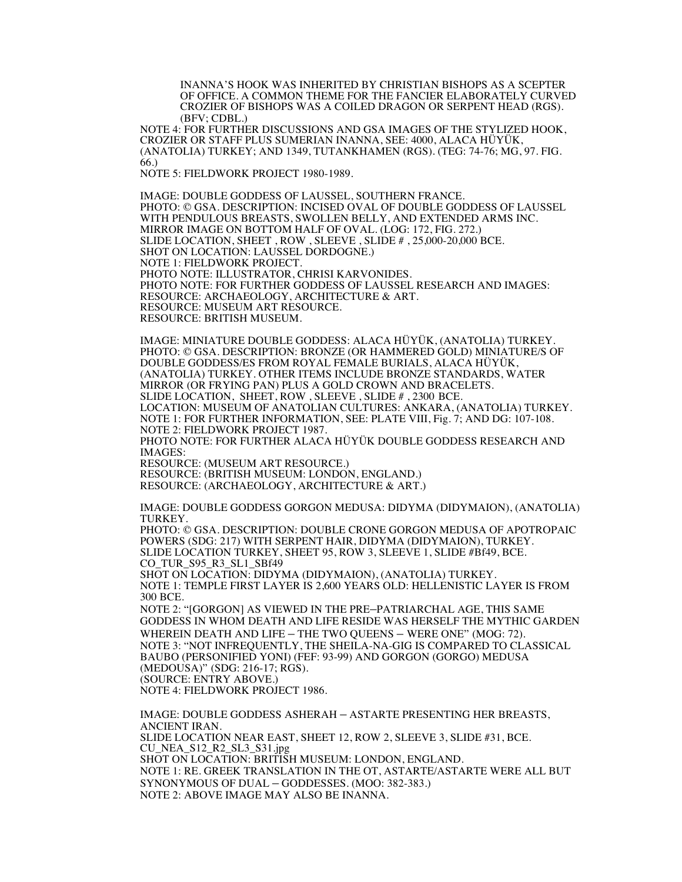INANNA'S HOOK WAS INHERITED BY CHRISTIAN BISHOPS AS A SCEPTER OF OFFICE. A COMMON THEME FOR THE FANCIER ELABORATELY CURVED CROZIER OF BISHOPS WAS A COILED DRAGON OR SERPENT HEAD (RGS). (BFV; CDBL.)

NOTE 4: FOR FURTHER DISCUSSIONS AND GSA IMAGES OF THE STYLIZED HOOK, CROZIER OR STAFF PLUS SUMERIAN INANNA, SEE: 4000, ALACA HÜYÜK, (ANATOLIA) TURKEY; AND 1349, TUTANKHAMEN (RGS). (TEG: 74-76; MG, 97. FIG. 66.)

NOTE 5: FIELDWORK PROJECT 1980-1989.

IMAGE: DOUBLE GODDESS OF LAUSSEL, SOUTHERN FRANCE. PHOTO: © GSA. DESCRIPTION: INCISED OVAL OF DOUBLE GODDESS OF LAUSSEL WITH PENDULOUS BREASTS, SWOLLEN BELLY, AND EXTENDED ARMS INC. MIRROR IMAGE ON BOTTOM HALF OF OVAL. (LOG: 172, FIG. 272.) SLIDE LOCATION, SHEET , ROW , SLEEVE , SLIDE # , 25,000-20,000 BCE. SHOT ON LOCATION: LAUSSEL DORDOGNE.) NOTE 1: FIELDWORK PROJECT. PHOTO NOTE: ILLUSTRATOR, CHRISI KARVONIDES. PHOTO NOTE: FOR FURTHER GODDESS OF LAUSSEL RESEARCH AND IMAGES: RESOURCE: ARCHAEOLOGY, ARCHITECTURE & ART. RESOURCE: MUSEUM ART RESOURCE. RESOURCE: BRITISH MUSEUM.

IMAGE: MINIATURE DOUBLE GODDESS: ALACA HÜYÜK, (ANATOLIA) TURKEY. PHOTO: © GSA. DESCRIPTION: BRONZE (OR HAMMERED GOLD) MINIATURE/S OF DOUBLE GODDESS/ES FROM ROYAL FEMALE BURIALS, ALACA HÜYÜK, (ANATOLIA) TURKEY. OTHER ITEMS INCLUDE BRONZE STANDARDS, WATER MIRROR (OR FRYING PAN) PLUS A GOLD CROWN AND BRACELETS. SLIDE LOCATION, SHEET, ROW , SLEEVE , SLIDE # , 2300 BCE. LOCATION: MUSEUM OF ANATOLIAN CULTURES: ANKARA, (ANATOLIA) TURKEY. NOTE 1: FOR FURTHER INFORMATION, SEE: PLATE VIII, Fig. 7; AND DG: 107-108. NOTE 2: FIELDWORK PROJECT 1987. PHOTO NOTE: FOR FURTHER ALACA HÜYÜK DOUBLE GODDESS RESEARCH AND IMAGES: RESOURCE: (MUSEUM ART RESOURCE.) RESOURCE: (BRITISH MUSEUM: LONDON, ENGLAND.) RESOURCE: (ARCHAEOLOGY, ARCHITECTURE & ART.)

IMAGE: DOUBLE GODDESS GORGON MEDUSA: DIDYMA (DIDYMAION), (ANATOLIA) TURKEY.

PHOTO: © GSA. DESCRIPTION: DOUBLE CRONE GORGON MEDUSA OF APOTROPAIC POWERS (SDG: 217) WITH SERPENT HAIR, DIDYMA (DIDYMAION), TURKEY. SLIDE LOCATION TURKEY, SHEET 95, ROW 3, SLEEVE 1, SLIDE #Bf49, BCE. CO\_TUR\_S95\_R3\_SL1\_SBf49 SHOT ON LOCATION: DIDYMA (DIDYMAION), (ANATOLIA) TURKEY.

NOTE 1: TEMPLE FIRST LAYER IS 2,600 YEARS OLD: HELLENISTIC LAYER IS FROM 300 BCE.

NOTE 2: "[GORGON] AS VIEWED IN THE PRE–PATRIARCHAL AGE, THIS SAME GODDESS IN WHOM DEATH AND LIFE RESIDE WAS HERSELF THE MYTHIC GARDEN WHEREIN DEATH AND LIFE – THE TWO QUEENS – WERE ONE" (MOG: 72). NOTE 3: "NOT INFREQUENTLY, THE SHEILA-NA-GIG IS COMPARED TO CLASSICAL BAUBO (PERSONIFIED YONI) (FEF: 93-99) AND GORGON (GORGO) MEDUSA (MEDOUSA)" (SDG: 216-17; RGS). (SOURCE: ENTRY ABOVE.) NOTE 4: FIELDWORK PROJECT 1986.

IMAGE: DOUBLE GODDESS ASHERAH – ASTARTE PRESENTING HER BREASTS, ANCIENT IRAN. SLIDE LOCATION NEAR EAST, SHEET 12, ROW 2, SLEEVE 3, SLIDE #31, BCE. CU\_NEA\_S12\_R2\_SL3\_S31.jpg SHOT ON LOCATION: BRITISH MUSEUM: LONDON, ENGLAND. NOTE 1: RE. GREEK TRANSLATION IN THE OT, ASTARTE/ASTARTE WERE ALL BUT SYNONYMOUS OF DUAL – GODDESSES. (MOO: 382-383.) NOTE 2: ABOVE IMAGE MAY ALSO BE INANNA.